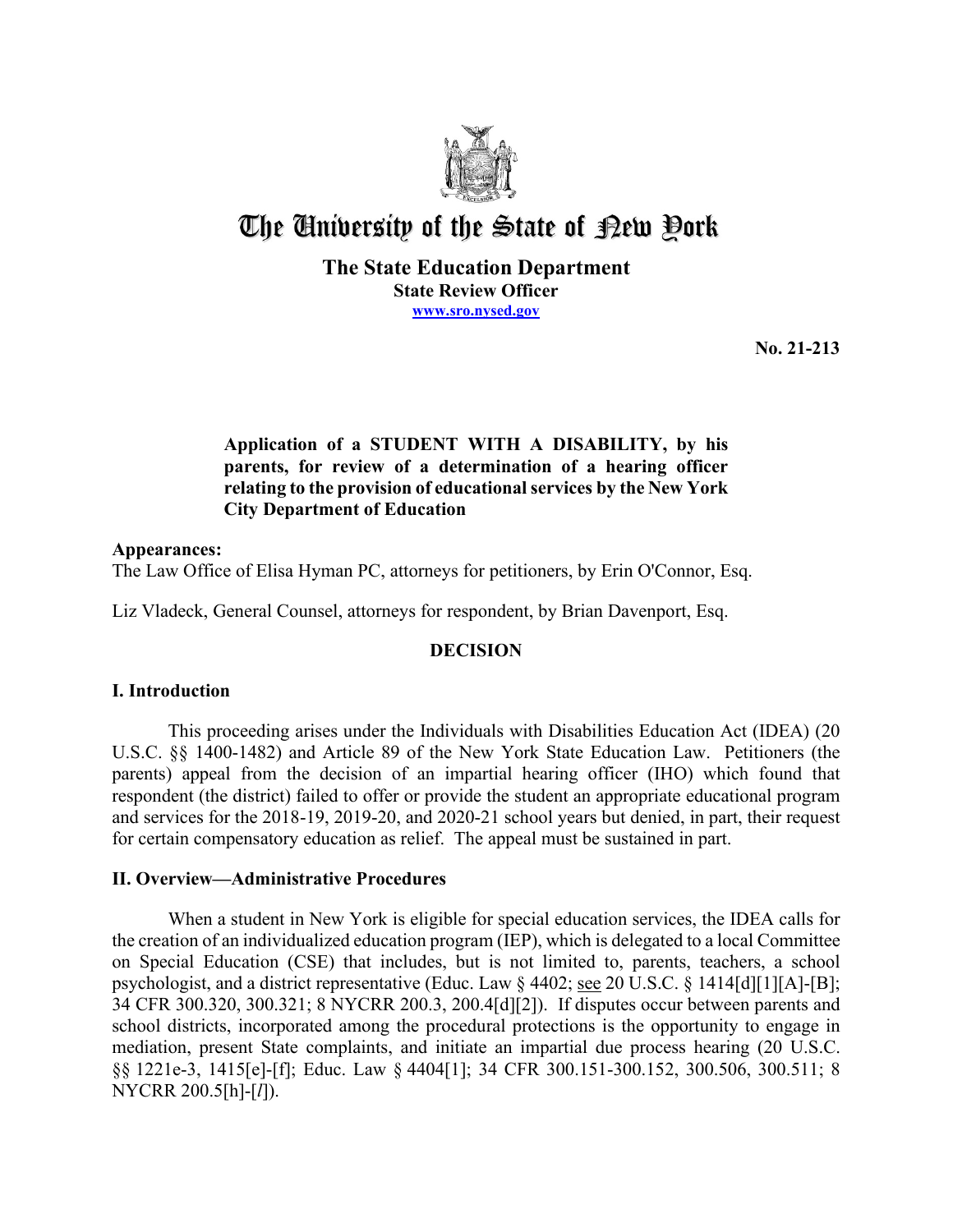

# The University of the State of Pew Pork

## **The State Education Department State Review Officer [www.sro.nysed.gov](http://www.sro.nysed.gov/)**

**No. 21-213** 

## **Application of a STUDENT WITH A DISABILITY, by his parents, for review of a determination of a hearing officer relating to the provision of educational services by the New York City Department of Education**

## **Appearances:**

The Law Office of Elisa Hyman PC, attorneys for petitioners, by Erin O'Connor, Esq.

Liz Vladeck, General Counsel, attorneys for respondent, by Brian Davenport, Esq.

## **DECISION**

## **I. Introduction**

 parents) appeal from the decision of an impartial hearing officer (IHO) which found that respondent (the district) failed to offer or provide the student an appropriate educational program This proceeding arises under the Individuals with Disabilities Education Act (IDEA) (20 U.S.C. §§ 1400-1482) and Article 89 of the New York State Education Law. Petitioners (the and services for the 2018-19, 2019-20, and 2020-21 school years but denied, in part, their request for certain compensatory education as relief. The appeal must be sustained in part.

## **II. Overview—Administrative Procedures**

psychologist, and a district representative (Educ. Law § 4402; see 20 U.S.C. § 1414[d][1][A]-[B]; When a student in New York is eligible for special education services, the IDEA calls for the creation of an individualized education program (IEP), which is delegated to a local Committee on Special Education (CSE) that includes, but is not limited to, parents, teachers, a school 34 CFR 300.320, 300.321; 8 NYCRR 200.3, 200.4[d][2]). If disputes occur between parents and school districts, incorporated among the procedural protections is the opportunity to engage in mediation, present State complaints, and initiate an impartial due process hearing (20 U.S.C. §§ 1221e-3, 1415[e]-[f]; Educ. Law § 4404[1]; 34 CFR 300.151-300.152, 300.506, 300.511; 8 NYCRR 200.5[h]-[*l*]).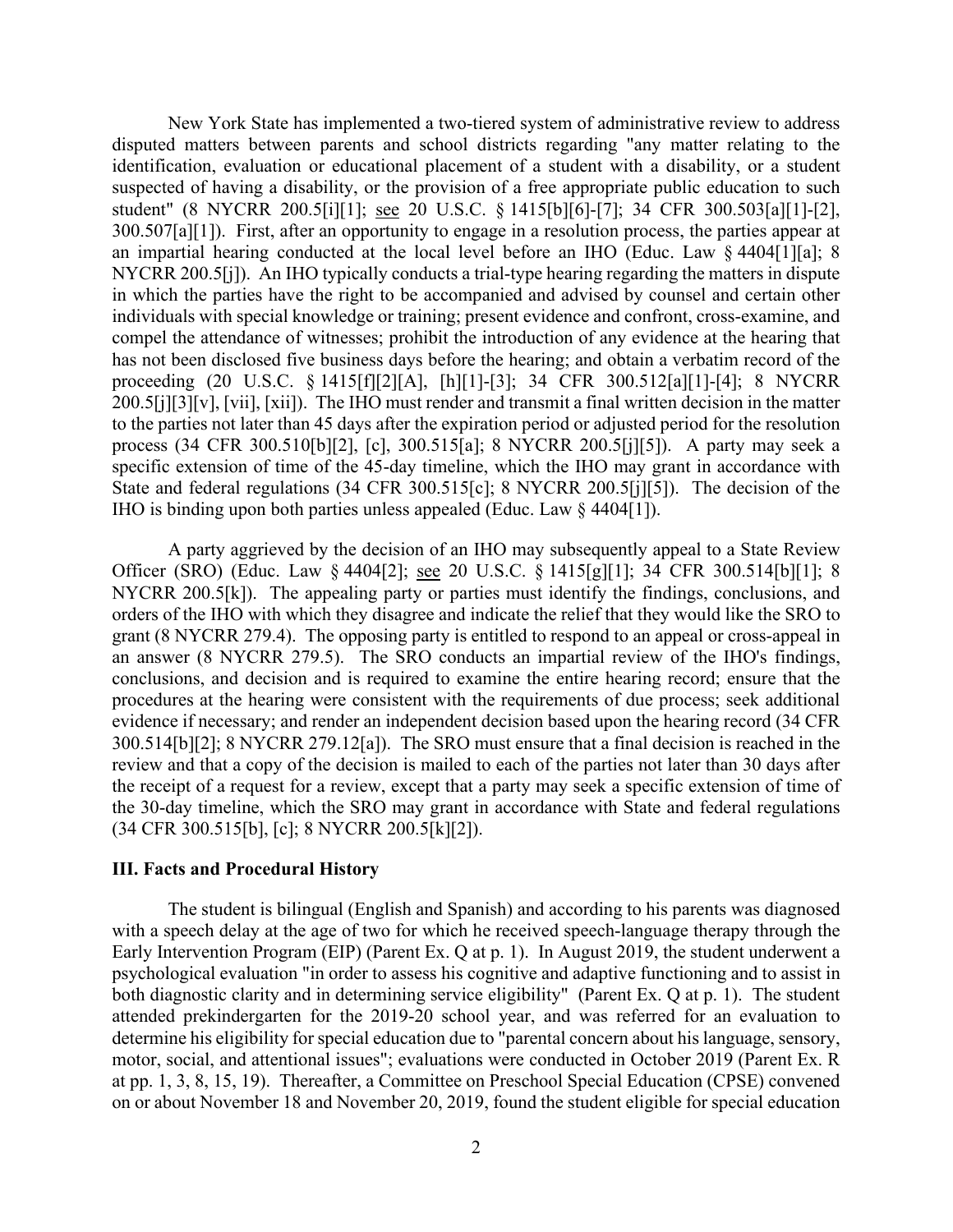300.507[a][1]). First, after an opportunity to engage in a resolution process, the parties appear at IHO is binding upon both parties unless appealed (Educ. Law § 4404[1]). New York State has implemented a two-tiered system of administrative review to address disputed matters between parents and school districts regarding "any matter relating to the identification, evaluation or educational placement of a student with a disability, or a student suspected of having a disability, or the provision of a free appropriate public education to such student" (8 NYCRR 200.5[i][1]; see 20 U.S.C. § 1415[b][6]-[7]; 34 CFR 300.503[a][1]-[2], an impartial hearing conducted at the local level before an IHO (Educ. Law § 4404[1][a]; 8 NYCRR 200.5[j]). An IHO typically conducts a trial-type hearing regarding the matters in dispute in which the parties have the right to be accompanied and advised by counsel and certain other individuals with special knowledge or training; present evidence and confront, cross-examine, and compel the attendance of witnesses; prohibit the introduction of any evidence at the hearing that has not been disclosed five business days before the hearing; and obtain a verbatim record of the proceeding (20 U.S.C. § 1415[f][2][A], [h][1]-[3]; 34 CFR 300.512[a][1]-[4]; 8 NYCRR 200.5[j][3][v], [vii], [xii]). The IHO must render and transmit a final written decision in the matter to the parties not later than 45 days after the expiration period or adjusted period for the resolution process (34 CFR 300.510[b][2], [c], 300.515[a]; 8 NYCRR 200.5[j][5]). A party may seek a specific extension of time of the 45-day timeline, which the IHO may grant in accordance with State and federal regulations (34 CFR 300.515[c]; 8 NYCRR 200.5[j][5]). The decision of the

Officer (SRO) (Educ. Law § 4404[2]; <u>see</u> 20 U.S.C. § 1415[g][1]; 34 CFR 300.514[b][1]; 8 an answer (8 NYCRR 279.5). The SRO conducts an impartial review of the IHO's findings, review and that a copy of the decision is mailed to each of the parties not later than 30 days after the receipt of a request for a review, except that a party may seek a specific extension of time of A party aggrieved by the decision of an IHO may subsequently appeal to a State Review NYCRR 200.5[k]). The appealing party or parties must identify the findings, conclusions, and orders of the IHO with which they disagree and indicate the relief that they would like the SRO to grant (8 NYCRR 279.4). The opposing party is entitled to respond to an appeal or cross-appeal in conclusions, and decision and is required to examine the entire hearing record; ensure that the procedures at the hearing were consistent with the requirements of due process; seek additional evidence if necessary; and render an independent decision based upon the hearing record (34 CFR 300.514[b][2]; 8 NYCRR 279.12[a]). The SRO must ensure that a final decision is reached in the the 30-day timeline, which the SRO may grant in accordance with State and federal regulations (34 CFR 300.515[b], [c]; 8 NYCRR 200.5[k][2]).

#### **III. Facts and Procedural History**

 The student is bilingual (English and Spanish) and according to his parents was diagnosed with a speech delay at the age of two for which he received speech-language therapy through the Early Intervention Program (EIP) (Parent Ex. Q at p. 1). In August 2019, the student underwent a both diagnostic clarity and in determining service eligibility" (Parent Ex. Q at p. 1). The student attended prekindergarten for the 2019-20 school year, and was referred for an evaluation to at pp. 1, 3, 8, 15, 19). Thereafter, a Committee on Preschool Special Education (CPSE) convened on or about November 18 and November 20, 2019, found the student eligible for special education psychological evaluation "in order to assess his cognitive and adaptive functioning and to assist in determine his eligibility for special education due to "parental concern about his language, sensory, motor, social, and attentional issues"; evaluations were conducted in October 2019 (Parent Ex. R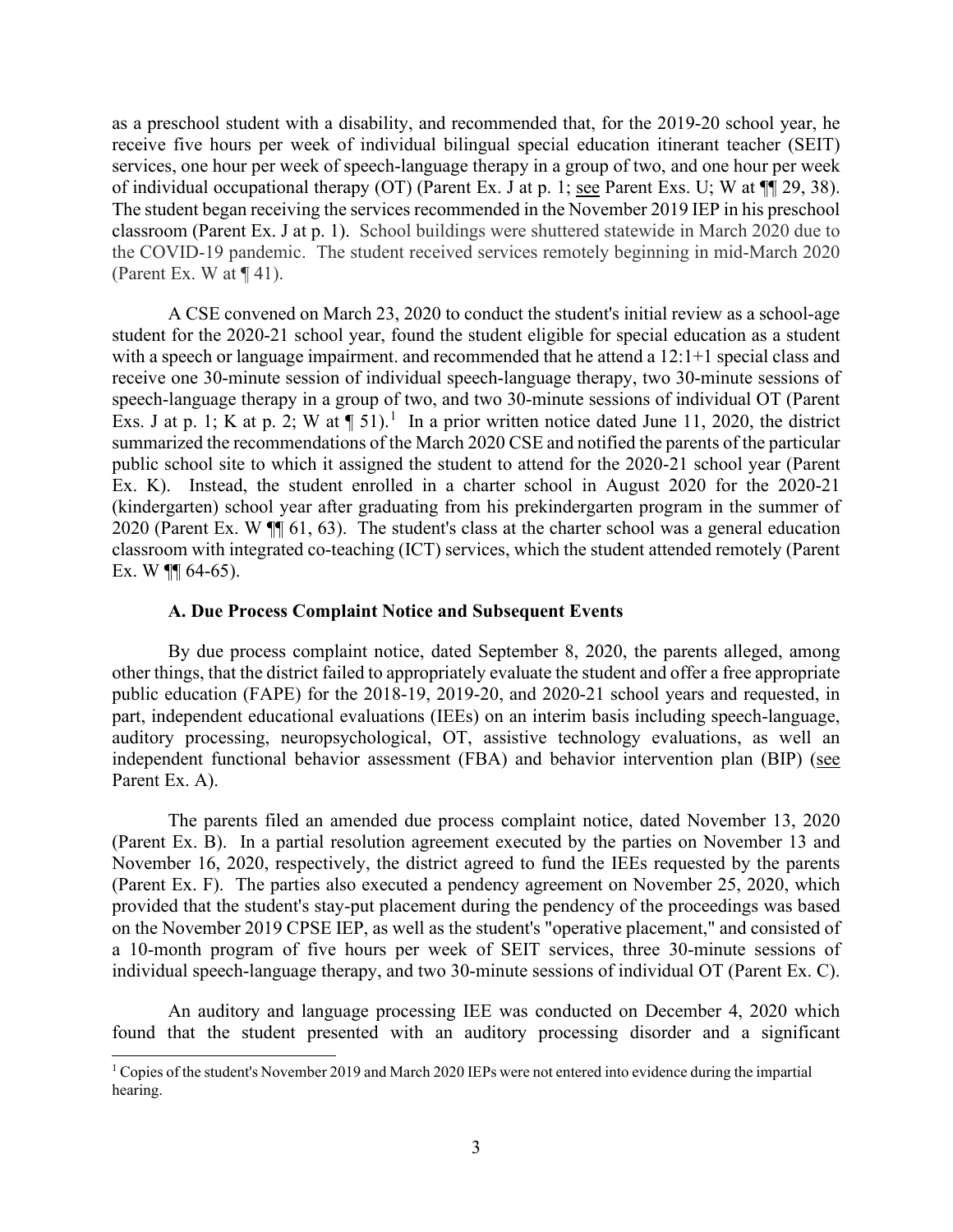as a preschool student with a disability, and recommended that, for the 2019-20 school year, he of individual occupational therapy (OT) (Parent Ex. J at p. 1; <u>see</u> Parent Exs. U; W at  $\P$  29, 38). (Parent Ex. W at  $\P$  41). receive five hours per week of individual bilingual special education itinerant teacher (SEIT) services, one hour per week of speech-language therapy in a group of two, and one hour per week The student began receiving the services recommended in the November 2019 IEP in his preschool classroom (Parent Ex. J at p. 1). School buildings were shuttered statewide in March 2020 due to the COVID-19 pandemic. The student received services remotely beginning in mid-March 2020

 A CSE convened on March 23, 2020 to conduct the student's initial review as a school-age student for the 2020-21 school year, found the student eligible for special education as a student receive one 30-minute session of individual speech-language therapy, two 30-minute sessions of Exs. J at p. 1; K at p. 2; W at  $\P$  51).<sup>1</sup> In a prior written notice dated June 11, 2020, the district Ex. K). Instead, the student enrolled in a charter school in August 2020 for the 2020-21 2020 (Parent Ex. W  $\P$  61, 63). The student's class at the charter school was a general education with a speech or language impairment. and recommended that he attend a 12:1+1 special class and speech-language therapy in a group of two, and two 30-minute sessions of individual OT (Parent summarized the recommendations of the March 2020 CSE and notified the parents of the particular public school site to which it assigned the student to attend for the 2020-21 school year (Parent (kindergarten) school year after graduating from his prekindergarten program in the summer of classroom with integrated co-teaching (ICT) services, which the student attended remotely (Parent Ex. W  $\P$  64-65).

#### **A. Due Process Complaint Notice and Subsequent Events**

 part, independent educational evaluations (IEEs) on an interim basis including speech-language, independent functional behavior assessment (FBA) and behavior intervention plan (BIP) (see By due process complaint notice, dated September 8, 2020, the parents alleged, among other things, that the district failed to appropriately evaluate the student and offer a free appropriate public education (FAPE) for the 2018-19, 2019-20, and 2020-21 school years and requested, in auditory processing, neuropsychological, OT, assistive technology evaluations, as well an Parent Ex. A).

 individual speech-language therapy, and two 30-minute sessions of individual OT (Parent Ex. C). The parents filed an amended due process complaint notice, dated November 13, 2020 (Parent Ex. B). In a partial resolution agreement executed by the parties on November 13 and November 16, 2020, respectively, the district agreed to fund the IEEs requested by the parents (Parent Ex. F). The parties also executed a pendency agreement on November 25, 2020, which provided that the student's stay-put placement during the pendency of the proceedings was based on the November 2019 CPSE IEP, as well as the student's "operative placement," and consisted of a 10-month program of five hours per week of SEIT services, three 30-minute sessions of

An auditory and language processing IEE was conducted on December 4, 2020 which found that the student presented with an auditory processing disorder and a significant

<span id="page-2-0"></span> $1$  Copies of the student's November 2019 and March 2020 IEPs were not entered into evidence during the impartial hearing.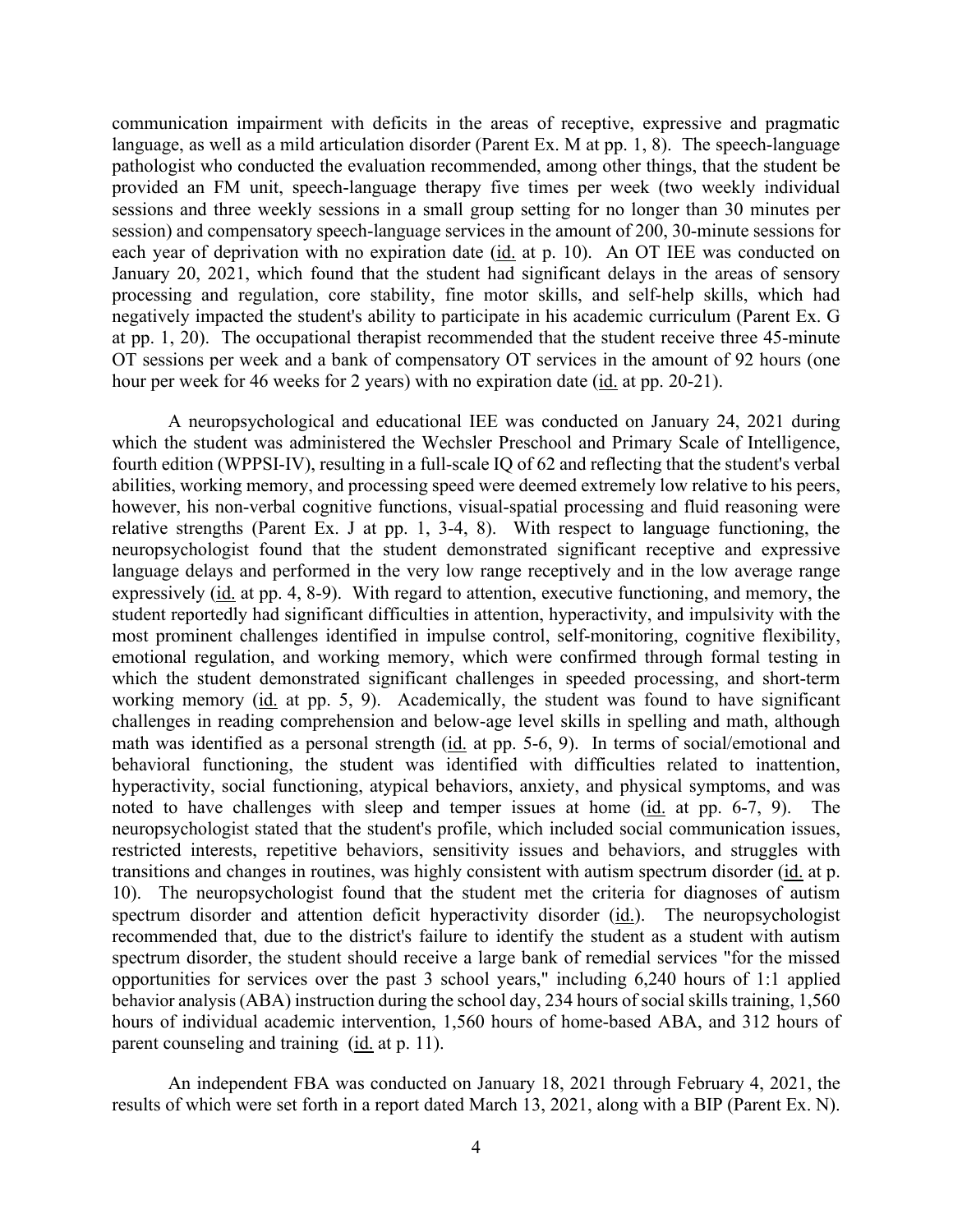communication impairment with deficits in the areas of receptive, expressive and pragmatic processing and regulation, core stability, fine motor skills, and self-help skills, which had language, as well as a mild articulation disorder (Parent Ex. M at pp. 1, 8). The speech-language pathologist who conducted the evaluation recommended, among other things, that the student be provided an FM unit, speech-language therapy five times per week (two weekly individual sessions and three weekly sessions in a small group setting for no longer than 30 minutes per session) and compensatory speech-language services in the amount of 200, 30-minute sessions for each year of deprivation with no expiration date (id. at p. 10). An OT IEE was conducted on January 20, 2021, which found that the student had significant delays in the areas of sensory negatively impacted the student's ability to participate in his academic curriculum (Parent Ex. G at pp. 1, 20). The occupational therapist recommended that the student receive three 45-minute OT sessions per week and a bank of compensatory OT services in the amount of 92 hours (one hour per week for 46 weeks for 2 years) with no expiration date (id. at pp. 20-21).

 A neuropsychological and educational IEE was conducted on January 24, 2021 during however, his non-verbal cognitive functions, visual-spatial processing and fluid reasoning were relative strengths (Parent Ex. J at pp. 1, 3-4, 8). With respect to language functioning, the neuropsychologist found that the student demonstrated significant receptive and expressive language delays and performed in the very low range receptively and in the low average range expressively (id. at pp. 4, 8-9). With regard to attention, executive functioning, and memory, the working memory (id. at pp. 5, 9). Academically, the student was found to have significant math was identified as a personal strength (id. at pp. 5-6, 9). In terms of social/emotional and noted to have challenges with sleep and temper issues at home (id. at pp. 6-7, 9). The neuropsychologist stated that the student's profile, which included social communication issues, transitions and changes in routines, was highly consistent with autism spectrum disorder (id. at p. 10). The neuropsychologist found that the student met the criteria for diagnoses of autism recommended that, due to the district's failure to identify the student as a student with autism hours of individual academic intervention, 1,560 hours of home-based ABA, and 312 hours of parent counseling and training (*id.* at p. 11). which the student was administered the Wechsler Preschool and Primary Scale of Intelligence, fourth edition (WPPSI-IV), resulting in a full-scale IQ of 62 and reflecting that the student's verbal abilities, working memory, and processing speed were deemed extremely low relative to his peers, student reportedly had significant difficulties in attention, hyperactivity, and impulsivity with the most prominent challenges identified in impulse control, self-monitoring, cognitive flexibility, emotional regulation, and working memory, which were confirmed through formal testing in which the student demonstrated significant challenges in speeded processing, and short-term challenges in reading comprehension and below-age level skills in spelling and math, although behavioral functioning, the student was identified with difficulties related to inattention, hyperactivity, social functioning, atypical behaviors, anxiety, and physical symptoms, and was restricted interests, repetitive behaviors, sensitivity issues and behaviors, and struggles with spectrum disorder and attention deficit hyperactivity disorder (id.). The neuropsychologist spectrum disorder, the student should receive a large bank of remedial services "for the missed opportunities for services over the past 3 school years," including 6,240 hours of 1:1 applied behavior analysis (ABA) instruction during the school day, 234 hours of social skills training, 1,560

results of which were set forth in a report dated March 13, 2021, along with a BIP (Parent Ex. N).<br>4 An independent FBA was conducted on January 18, 2021 through February 4, 2021, the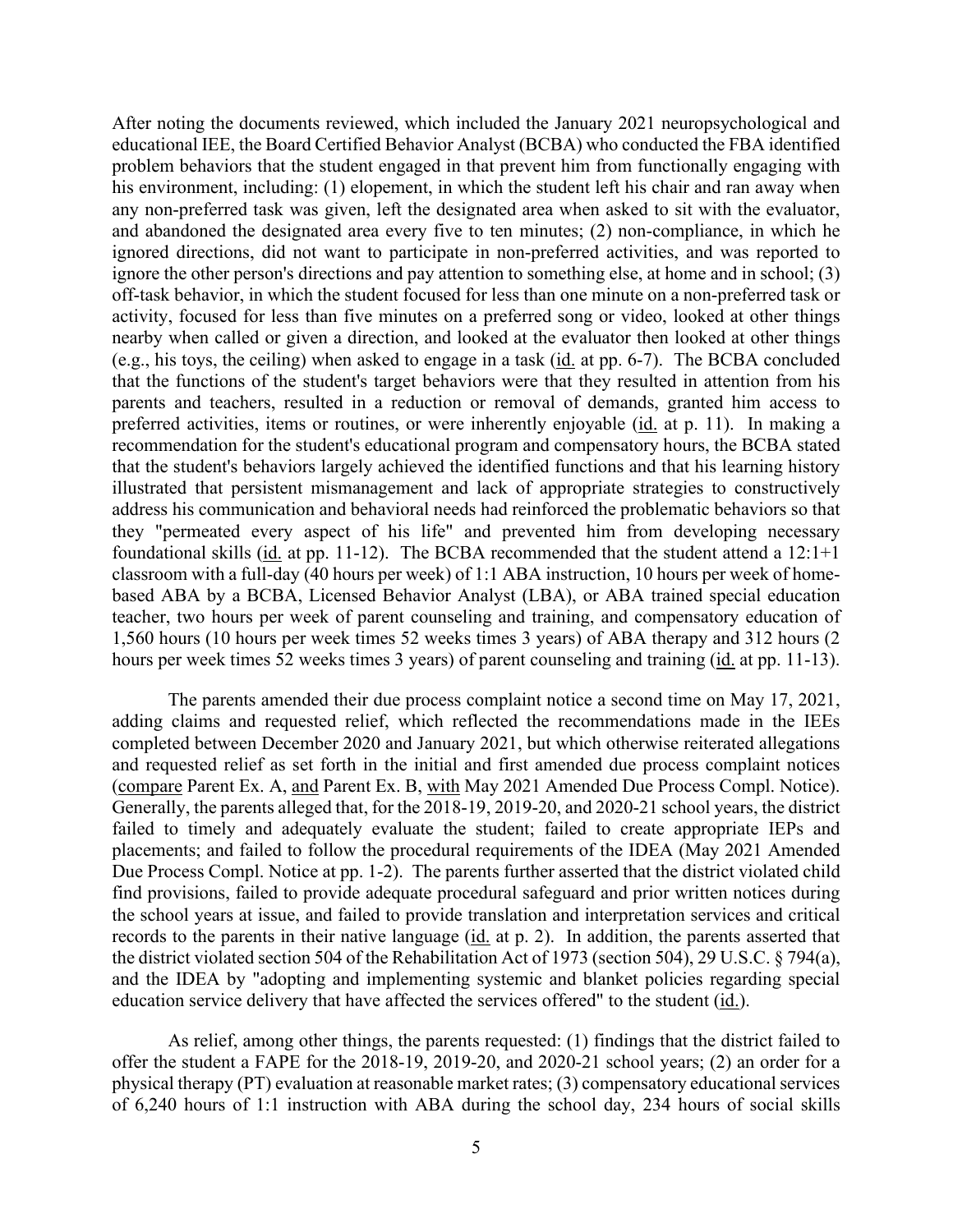any non-preferred task was given, left the designated area when asked to sit with the evaluator, off-task behavior, in which the student focused for less than one minute on a non-preferred task or activity, focused for less than five minutes on a preferred song or video, looked at other things (e.g., his toys, the ceiling) when asked to engage in a task (id. at pp. 6-7). The BCBA concluded that the functions of the student's target behaviors were that they resulted in attention from his parents and teachers, resulted in a reduction or removal of demands, granted him access to preferred activities, items or routines, or were inherently enjoyable (id. at p. 11). In making a address his communication and behavioral needs had reinforced the problematic behaviors so that foundational skills (id. at pp. 11-12). The BCBA recommended that the student attend a 12:1+1 1,560 hours (10 hours per week times 52 weeks times 3 years) of ABA therapy and 312 hours (2 hours per week times 52 weeks times 3 years) of parent counseling and training (*id.* at pp. 11-13). After noting the documents reviewed, which included the January 2021 neuropsychological and educational IEE, the Board Certified Behavior Analyst (BCBA) who conducted the FBA identified problem behaviors that the student engaged in that prevent him from functionally engaging with his environment, including: (1) elopement, in which the student left his chair and ran away when and abandoned the designated area every five to ten minutes; (2) non-compliance, in which he ignored directions, did not want to participate in non-preferred activities, and was reported to ignore the other person's directions and pay attention to something else, at home and in school; (3) nearby when called or given a direction, and looked at the evaluator then looked at other things recommendation for the student's educational program and compensatory hours, the BCBA stated that the student's behaviors largely achieved the identified functions and that his learning history illustrated that persistent mismanagement and lack of appropriate strategies to constructively they "permeated every aspect of his life" and prevented him from developing necessary classroom with a full-day (40 hours per week) of 1:1 ABA instruction, 10 hours per week of homebased ABA by a BCBA, Licensed Behavior Analyst (LBA), or ABA trained special education teacher, two hours per week of parent counseling and training, and compensatory education of

(compare Parent Ex. A, and Parent Ex. B, with May 2021 Amended Due Process Compl. Notice). placements; and failed to follow the procedural requirements of the IDEA (May 2021 Amended Due Process Compl. Notice at pp. 1-2). The parents further asserted that the district violated child records to the parents in their native language (*id.* at p. 2). In addition, the parents asserted that education service delivery that have affected the services offered" to the student (*id.*). The parents amended their due process complaint notice a second time on May 17, 2021, adding claims and requested relief, which reflected the recommendations made in the IEEs completed between December 2020 and January 2021, but which otherwise reiterated allegations and requested relief as set forth in the initial and first amended due process complaint notices Generally, the parents alleged that, for the 2018-19, 2019-20, and 2020-21 school years, the district failed to timely and adequately evaluate the student; failed to create appropriate IEPs and find provisions, failed to provide adequate procedural safeguard and prior written notices during the school years at issue, and failed to provide translation and interpretation services and critical the district violated section 504 of the Rehabilitation Act of 1973 (section 504), 29 U.S.C. § 794(a), and the IDEA by "adopting and implementing systemic and blanket policies regarding special

 As relief, among other things, the parents requested: (1) findings that the district failed to of 6,240 hours of 1:1 instruction with ABA during the school day, 234 hours of social skills offer the student a FAPE for the 2018-19, 2019-20, and 2020-21 school years; (2) an order for a physical therapy (PT) evaluation at reasonable market rates; (3) compensatory educational services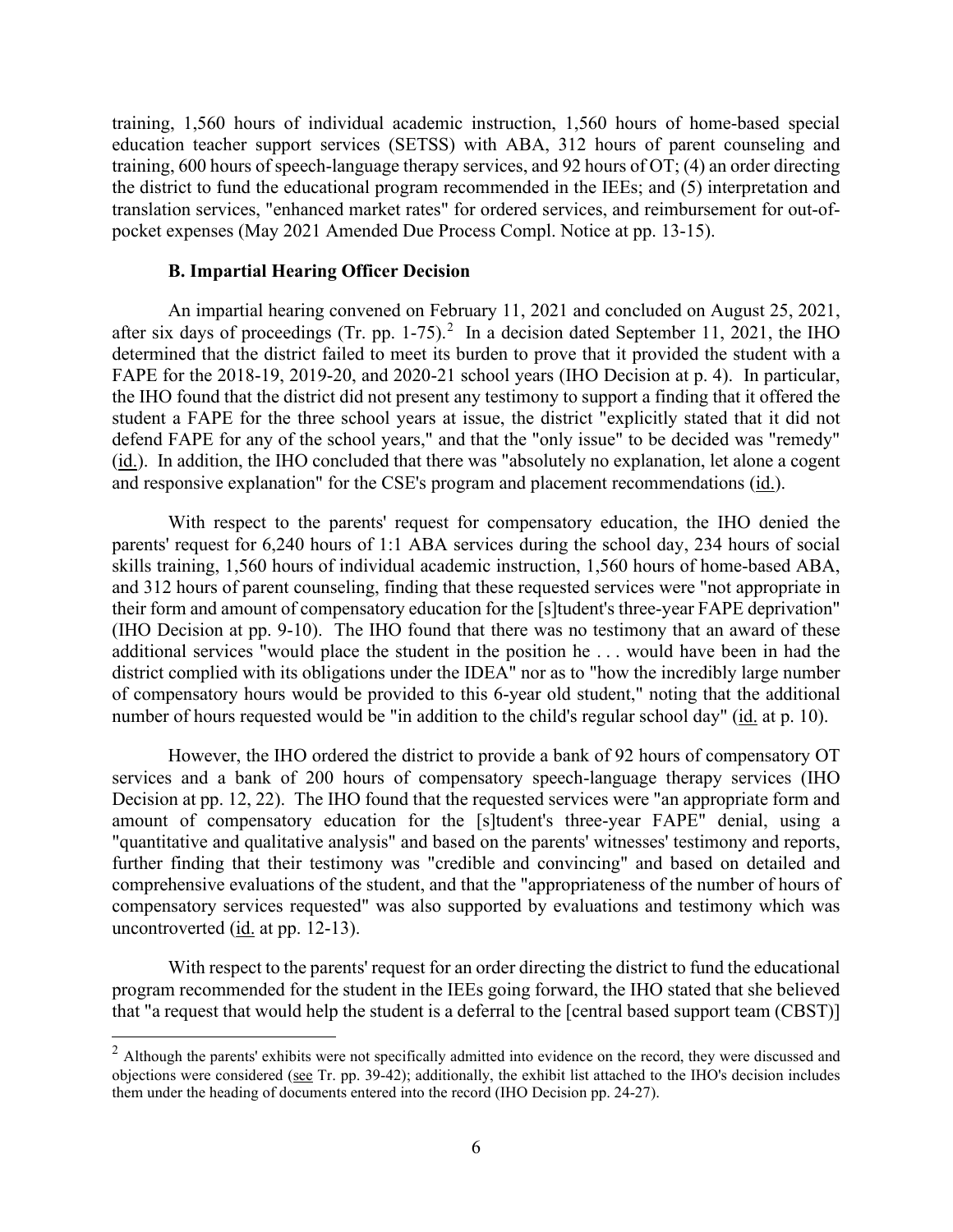training, 1,560 hours of individual academic instruction, 1,560 hours of home-based special education teacher support services (SETSS) with ABA, 312 hours of parent counseling and training, 600 hours of speech-language therapy services, and 92 hours of OT; (4) an order directing the district to fund the educational program recommended in the IEEs; and (5) interpretation and translation services, "enhanced market rates" for ordered services, and reimbursement for out-ofpocket expenses (May 2021 Amended Due Process Compl. Notice at pp. 13-15).

#### **B. Impartial Hearing Officer Decision**

after six days of proceedings (Tr. pp. 1-75).<sup>[2](#page-5-0)</sup> In a decision dated September 11, 2021, the IHO determined that the district failed to meet its burden to prove that it provided the student with a FAPE for the 2018-19, 2019-20, and 2020-21 school years (IHO Decision at p. 4). In particular, the IHO found that the district did not present any testimony to support a finding that it offered the defend FAPE for any of the school years," and that the "only issue" to be decided was "remedy" (id.). In addition, the IHO concluded that there was "absolutely no explanation, let alone a cogent and responsive explanation" for the CSE's program and placement recommendations (id.). An impartial hearing convened on February 11, 2021 and concluded on August 25, 2021, student a FAPE for the three school years at issue, the district "explicitly stated that it did not

 With respect to the parents' request for compensatory education, the IHO denied the parents' request for 6,240 hours of 1:1 ABA services during the school day, 234 hours of social (IHO Decision at pp. 9-10). The IHO found that there was no testimony that an award of these additional services "would place the student in the position he . . . would have been in had the district complied with its obligations under the IDEA" nor as to "how the incredibly large number number of hours requested would be "in addition to the child's regular school day" (id. at p. 10). skills training, 1,560 hours of individual academic instruction, 1,560 hours of home-based ABA, and 312 hours of parent counseling, finding that these requested services were "not appropriate in their form and amount of compensatory education for the [s]tudent's three-year FAPE deprivation" of compensatory hours would be provided to this 6-year old student," noting that the additional

 Decision at pp. 12, 22). The IHO found that the requested services were "an appropriate form and amount of compensatory education for the [s]tudent's three-year FAPE" denial, using a uncontroverted (*id.* at pp. 12-13). However, the IHO ordered the district to provide a bank of 92 hours of compensatory OT services and a bank of 200 hours of compensatory speech-language therapy services (IHO "quantitative and qualitative analysis" and based on the parents' witnesses' testimony and reports, further finding that their testimony was "credible and convincing" and based on detailed and comprehensive evaluations of the student, and that the "appropriateness of the number of hours of compensatory services requested" was also supported by evaluations and testimony which was

 With respect to the parents' request for an order directing the district to fund the educational program recommended for the student in the IEEs going forward, the IHO stated that she believed that "a request that would help the student is a deferral to the [central based support team (CBST)]

<span id="page-5-0"></span> them under the heading of documents entered into the record (IHO Decision pp. 24-27).  $2$  Although the parents' exhibits were not specifically admitted into evidence on the record, they were discussed and objections were considered (see Tr. pp. 39-42); additionally, the exhibit list attached to the IHO's decision includes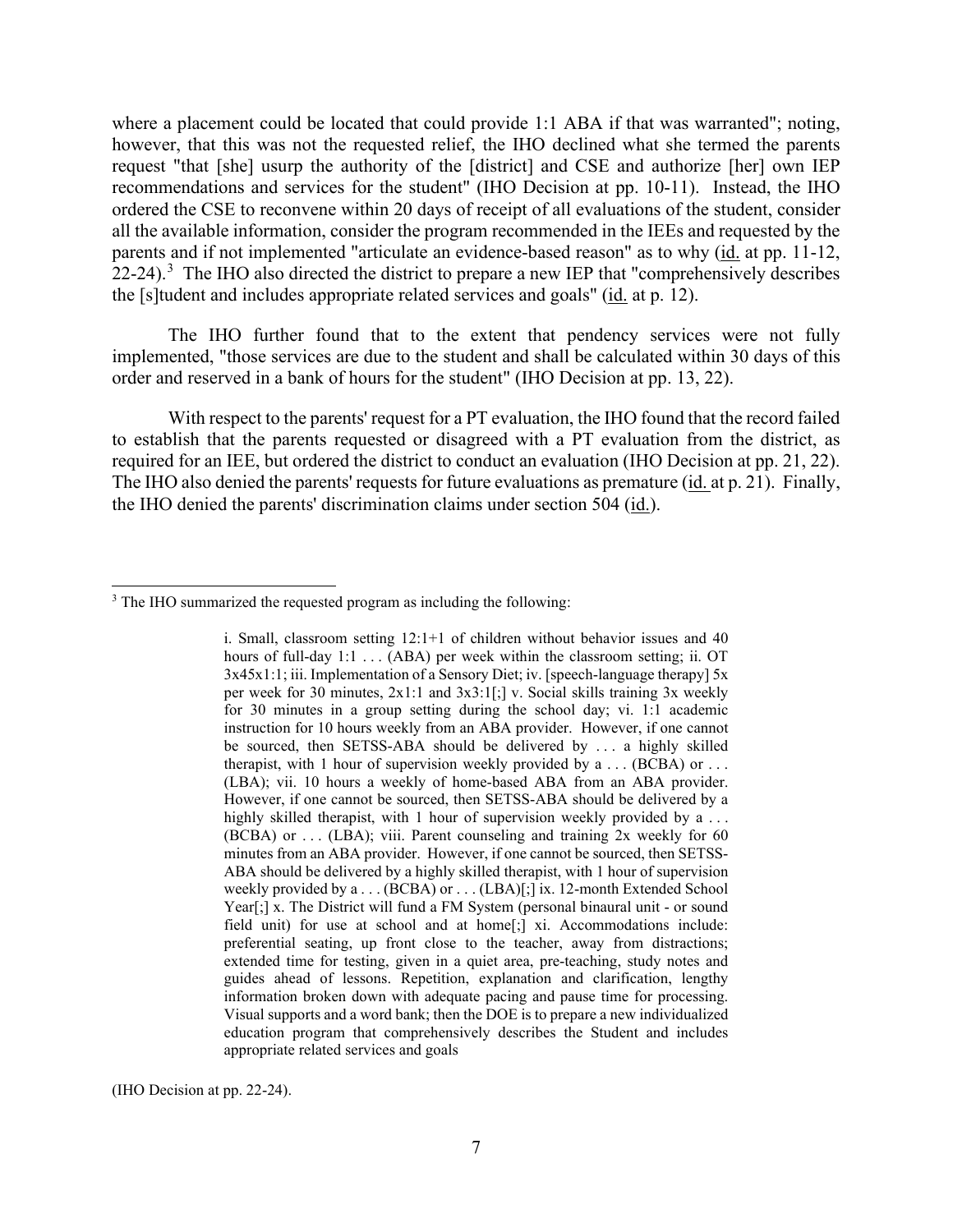where a placement could be located that could provide 1:1 ABA if that was warranted"; noting, however, that this was not the requested relief, the IHO declined what she termed the parents request "that [she] usurp the authority of the [district] and CSE and authorize [her] own IEP recommendations and services for the student" (IHO Decision at pp. 10-11). Instead, the IHO ordered the CSE to reconvene within 20 days of receipt of all evaluations of the student, consider all the available information, consider the program recommended in the IEEs and requested by the 22-24).<sup>3</sup> The IHO also directed the district to prepare a new IEP that "comprehensively describes" the [s]tudent and includes appropriate related services and goals" (*id.* at p. 12). parents and if not implemented "articulate an evidence-based reason" as to why (id. at pp. 11-12,

The IHO further found that to the extent that pendency services were not fully implemented, "those services are due to the student and shall be calculated within 30 days of this order and reserved in a bank of hours for the student" (IHO Decision at pp. 13, 22).

 required for an IEE, but ordered the district to conduct an evaluation (IHO Decision at pp. 21, 22). The IHO also denied the parents' requests for future evaluations as premature (*id.* at p. 21). Finally, With respect to the parents' request for a PT evaluation, the IHO found that the record failed to establish that the parents requested or disagreed with a PT evaluation from the district, as the IHO denied the parents' discrimination claims under section 504 (id.).

 hours of full-day 1:1 . . . (ABA) per week within the classroom setting; ii. OT per week for 30 minutes, 2x1:1 and 3x3:1[;] v. Social skills training 3x weekly be sourced, then SETSS-ABA should be delivered by . . . a highly skilled therapist, with 1 hour of supervision weekly provided by a . . . (BCBA) or . . . highly skilled therapist, with 1 hour of supervision weekly provided by a . . .  $(BCBA)$  or  $\dots$  (LBA); viii. Parent counseling and training 2x weekly for 60 minutes from an ABA provider. However, if one cannot be sourced, then SETSS- weekly provided by a . . . (BCBA) or . . . (LBA)[;] ix. 12-month Extended School extended time for testing, given in a quiet area, pre-teaching, study notes and guides ahead of lessons. Repetition, explanation and clarification, lengthy i. Small, classroom setting  $12:1+1$  of children without behavior issues and 40 3x45x1:1; iii. Implementation of a Sensory Diet; iv. [speech-language therapy] 5x for 30 minutes in a group setting during the school day; vi. 1:1 academic instruction for 10 hours weekly from an ABA provider. However, if one cannot (LBA); vii. 10 hours a weekly of home-based ABA from an ABA provider. However, if one cannot be sourced, then SETSS-ABA should be delivered by a ABA should be delivered by a highly skilled therapist, with 1 hour of supervision Year[;] x. The District will fund a FM System (personal binaural unit - or sound field unit) for use at school and at home[;] xi. Accommodations include: preferential seating, up front close to the teacher, away from distractions; information broken down with adequate pacing and pause time for processing. Visual supports and a word bank; then the DOE is to prepare a new individualized education program that comprehensively describes the Student and includes appropriate related services and goals

(IHO Decision at pp. 22-24).

<span id="page-6-0"></span><sup>&</sup>lt;sup>3</sup> The IHO summarized the requested program as including the following: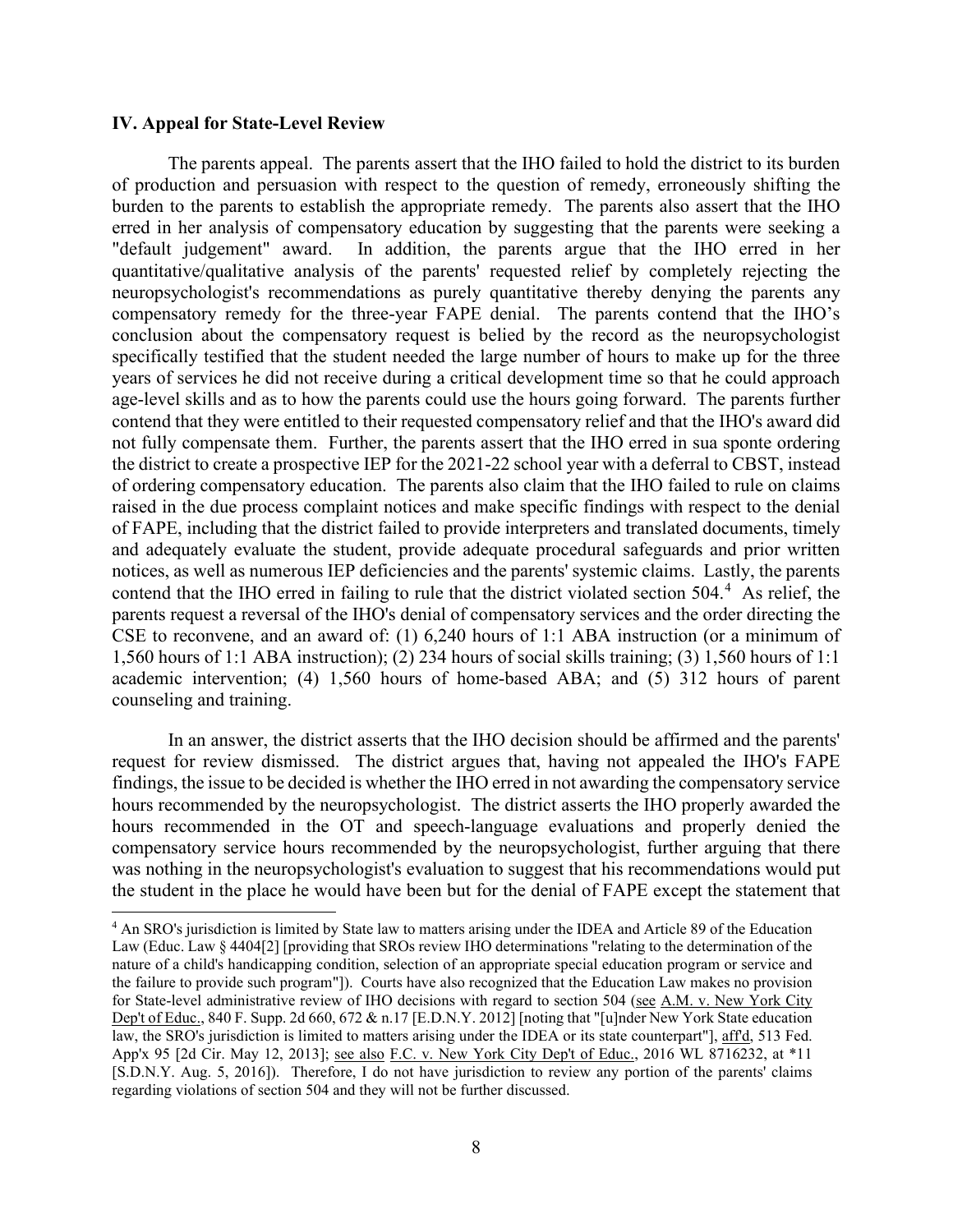#### **IV. Appeal for State-Level Review**

 The parents appeal. The parents assert that the IHO failed to hold the district to its burden burden to the parents to establish the appropriate remedy. The parents also assert that the IHO erred in her analysis of compensatory education by suggesting that the parents were seeking a age-level skills and as to how the parents could use the hours going forward. The parents further not fully compensate them. Further, the parents assert that the IHO erred in sua sponte ordering of ordering compensatory education. The parents also claim that the IHO failed to rule on claims notices, as well as numerous IEP deficiencies and the parents' systemic claims. Lastly, the parents contend that the IHO erred in failing to rule that the district violated section  $504<sup>4</sup>$ . As relief, the academic intervention; (4) 1,560 hours of home-based ABA; and (5) 312 hours of parent of production and persuasion with respect to the question of remedy, erroneously shifting the "default judgement" award. In addition, the parents argue that the IHO erred in her quantitative/qualitative analysis of the parents' requested relief by completely rejecting the neuropsychologist's recommendations as purely quantitative thereby denying the parents any compensatory remedy for the three-year FAPE denial. The parents contend that the IHO's conclusion about the compensatory request is belied by the record as the neuropsychologist specifically testified that the student needed the large number of hours to make up for the three years of services he did not receive during a critical development time so that he could approach contend that they were entitled to their requested compensatory relief and that the IHO's award did the district to create a prospective IEP for the 2021-22 school year with a deferral to CBST, instead raised in the due process complaint notices and make specific findings with respect to the denial of FAPE, including that the district failed to provide interpreters and translated documents, timely and adequately evaluate the student, provide adequate procedural safeguards and prior written parents request a reversal of the IHO's denial of compensatory services and the order directing the CSE to reconvene, and an award of: (1) 6,240 hours of 1:1 ABA instruction (or a minimum of 1,560 hours of 1:1 ABA instruction); (2) 234 hours of social skills training; (3) 1,560 hours of 1:1 counseling and training.

 request for review dismissed. The district argues that, having not appealed the IHO's FAPE hours recommended in the OT and speech-language evaluations and properly denied the In an answer, the district asserts that the IHO decision should be affirmed and the parents' findings, the issue to be decided is whether the IHO erred in not awarding the compensatory service hours recommended by the neuropsychologist. The district asserts the IHO properly awarded the compensatory service hours recommended by the neuropsychologist, further arguing that there was nothing in the neuropsychologist's evaluation to suggest that his recommendations would put the student in the place he would have been but for the denial of FAPE except the statement that

<span id="page-7-0"></span><sup>&</sup>lt;sup>4</sup> An SRO's jurisdiction is limited by State law to matters arising under the IDEA and Article 89 of the Education Law (Educ. Law § 4404[2] [providing that SROs review IHO determinations "relating to the determination of the nature of a child's handicapping condition, selection of an appropriate special education program or service and the failure to provide such program"]). Courts have also recognized that the Education Law makes no provision for State-level administrative review of IHO decisions with regard to section 504 (see A.M. v. New York City Dep't of Educ., 840 F. Supp. 2d 660, 672 & n.17 [E.D.N.Y. 2012] [noting that "[u]nder New York State education law, the SRO's jurisdiction is limited to matters arising under the IDEA or its state counterpart"], aff'd, 513 Fed. App'x 95 [2d Cir. May 12, 2013]; see also F.C. v. New York City Dep't of Educ., 2016 WL 8716232, at \*11 [S.D.N.Y. Aug. 5, 2016]). Therefore, I do not have jurisdiction to review any portion of the parents' claims regarding violations of section 504 and they will not be further discussed.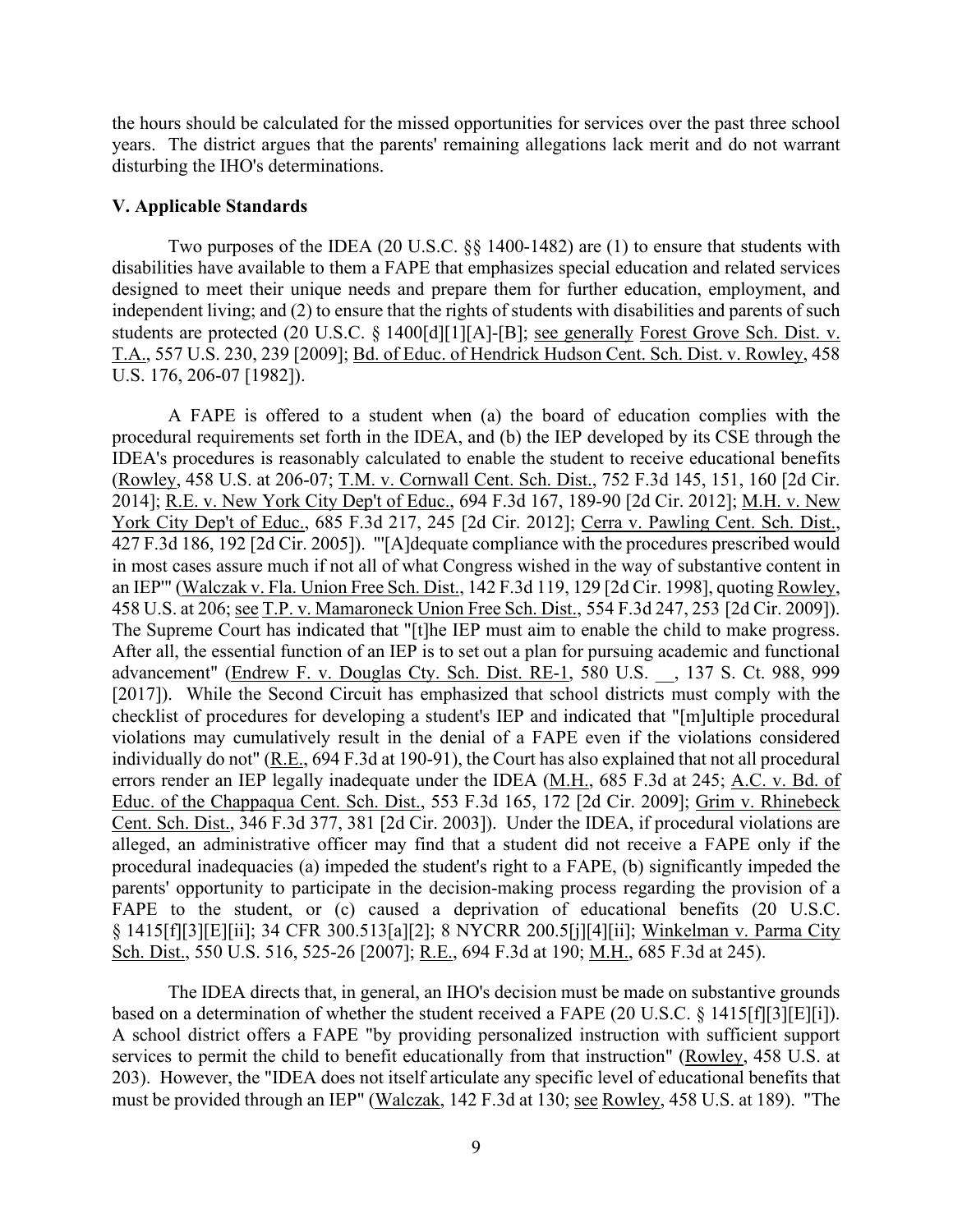the hours should be calculated for the missed opportunities for services over the past three school years. The district argues that the parents' remaining allegations lack merit and do not warrant disturbing the IHO's determinations.

#### **V. Applicable Standards**

Two purposes of the IDEA (20 U.S.C. §§ 1400-1482) are (1) to ensure that students with disabilities have available to them a FAPE that emphasizes special education and related services designed to meet their unique needs and prepare them for further education, employment, and independent living; and (2) to ensure that the rights of students with disabilities and parents of such students are protected (20 U.S.C. § 1400[d][1][A]-[B]; see generally Forest Grove Sch. Dist. v. T.A., 557 U.S. 230, 239 [2009]; Bd. of Educ. of Hendrick Hudson Cent. Sch. Dist. v. Rowley, 458 U.S. 176, 206-07 [1982]).

 A FAPE is offered to a student when (a) the board of education complies with the 2014]; <u>R.E. v. New York City Dep't of Educ.</u>, 694 F.3d 167, 189-90 [2d Cir. 2012]; <u>M.H. v. New</u> 458 U.S. at 206; see T.P. v. Mamaroneck Union Free Sch. Dist., 554 F.3d 247, 253 [2d Cir. 2009]). errors render an IEP legally inadequate under the IDEA (M.H., 685 F.3d at 245; A.C. v. Bd. of parents' opportunity to participate in the decision-making process regarding the provision of a procedural requirements set forth in the IDEA, and (b) the IEP developed by its CSE through the IDEA's procedures is reasonably calculated to enable the student to receive educational benefits (Rowley, 458 U.S. at 206-07; T.M. v. Cornwall Cent. Sch. Dist., 752 F.3d 145, 151, 160 [2d Cir. York City Dep't of Educ., 685 F.3d 217, 245 [2d Cir. 2012]; Cerra v. Pawling Cent. Sch. Dist., 427 F.3d 186, 192 [2d Cir. 2005]). "'[A]dequate compliance with the procedures prescribed would in most cases assure much if not all of what Congress wished in the way of substantive content in an IEP'" (Walczak v. Fla. Union Free Sch. Dist., 142 F.3d 119, 129 [2d Cir. 1998], quoting Rowley, 458 U.S. at 206; <u>see T.P. v. Mamaroneck Union Free Sch. Dist.</u>, 554 F.3d 247, 253 [2d Cir. 2009]). The Supreme Court has indicated that "[t]he IEP must aim to enable the child to make progress. After all, the essential fu advancement" (Endrew F. v. Douglas Cty. Sch. Dist. RE-1, 580 U.S. \_\_, 137 S. Ct. 988, 999 [2017]). While the Second Circuit has emphasized that school districts must comply with the checklist of procedures for developing a student's IEP and indicated that "[m]ultiple procedural violations may cumulatively result in the denial of a FAPE even if the violations considered individually do not" (R.E., 694 F.3d at 190-91), the Court has also explained that not all procedural Educ. of the Chappaqua Cent. Sch. Dist., 553 F.3d 165, 172 [2d Cir. 2009]; Grim v. Rhinebeck Cent. Sch. Dist., 346 F.3d 377, 381 [2d Cir. 2003]). Under the IDEA, if procedural violations are alleged, an administrative officer may find that a student did not receive a FAPE only if the procedural inadequacies (a) impeded the student's right to a FAPE, (b) significantly impeded the FAPE to the student, or (c) caused a deprivation of educational benefits (20 U.S.C. § 1415[f][3][E][ii]; 34 CFR 300.513[a][2]; 8 NYCRR 200.5[j][4][ii]; Winkelman v. Parma City Sch. Dist., 550 U.S. 516, 525-26 [2007]; R.E., 694 F.3d at 190; M.H., 685 F.3d at 245).

based on a determination of whether the student received a FAPE  $(20 \text{ U.S.C.} \S 1415 \text{ [f]} \S \text{ [E]} \text{ [i]}).$ The IDEA directs that, in general, an IHO's decision must be made on substantive grounds A school district offers a FAPE "by providing personalized instruction with sufficient support services to permit the child to benefit educationally from that instruction" (Rowley, 458 U.S. at 203). However, the "IDEA does not itself articulate any specific level of educational benefits that must be provided through an IEP" (Walczak, 142 F.3d at 130; see Rowley, 458 U.S. at 189). "The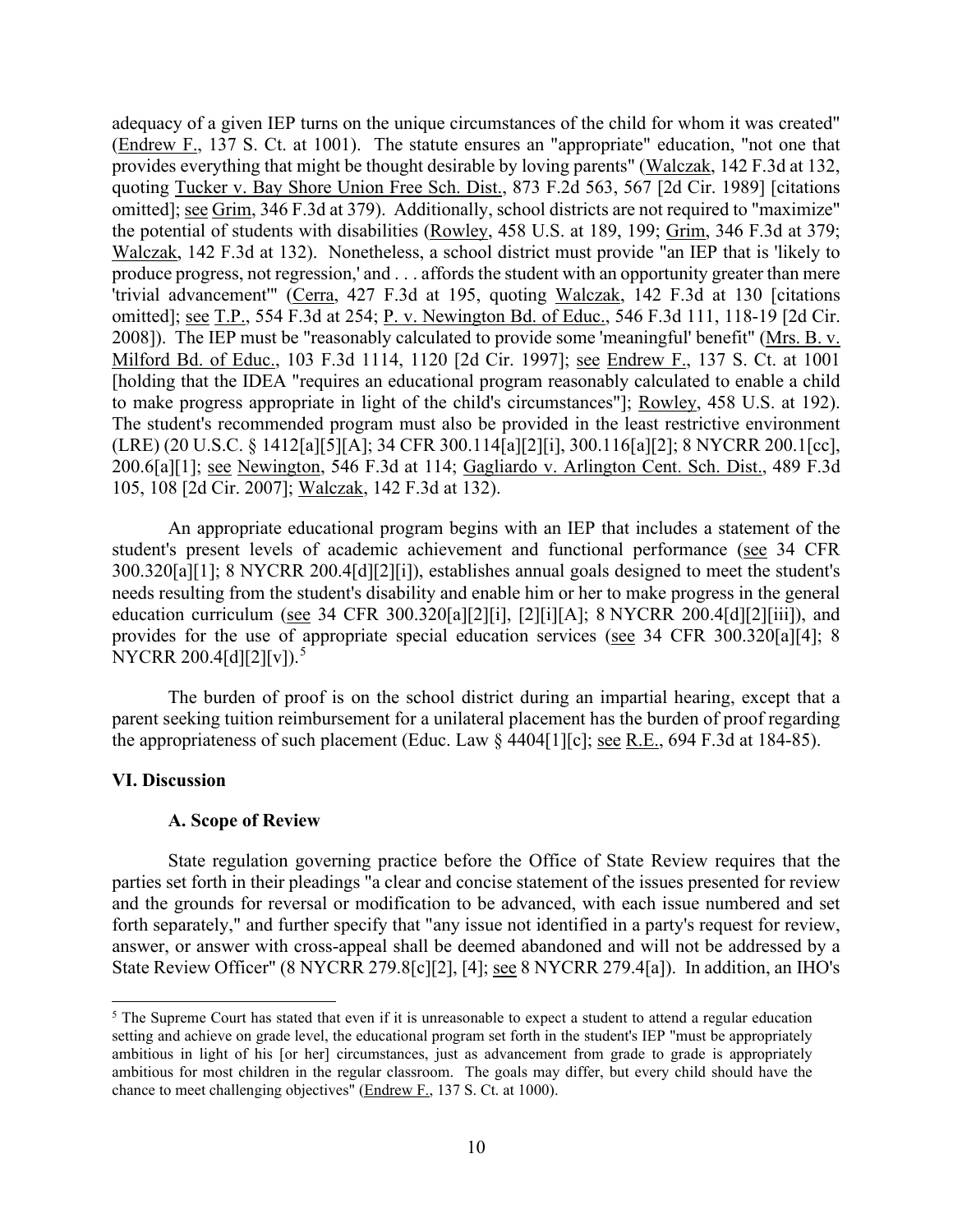adequacy of a given IEP turns on the unique circumstances of the child for whom it was created" produce progress, not regression,' and . . . affords the student with an opportunity greater than mere 200.6[a][1]; see Newington, 546 F.3d at 114; Gagliardo v. Arlington Cent. Sch. Dist., 489 F.3d (Endrew F., 137 S. Ct. at 1001). The statute ensures an "appropriate" education, "not one that provides everything that might be thought desirable by loving parents" (Walczak, 142 F.3d at 132, quoting Tucker v. Bay Shore Union Free Sch. Dist., 873 F.2d 563, 567 [2d Cir. 1989] [citations omitted]; see Grim, 346 F.3d at 379). Additionally, school districts are not required to "maximize" the potential of students with disabilities (Rowley, 458 U.S. at 189, 199; Grim, 346 F.3d at 379; Walczak, 142 F.3d at 132). Nonetheless, a school district must provide "an IEP that is 'likely to 'trivial advancement'" (Cerra, 427 F.3d at 195, quoting Walczak, 142 F.3d at 130 [citations omitted]; see T.P., 554 F.3d at 254; P. v. Newington Bd. of Educ., 546 F.3d 111, 118-19 [2d Cir. 2008]). The IEP must be "reasonably calculated to provide some 'meaningful' benefit" (Mrs. B. v. Milford Bd. of Educ., 103 F.3d 1114, 1120 [2d Cir. 1997]; see Endrew F., 137 S. Ct. at 1001 [holding that the IDEA "requires an educational program reasonably calculated to enable a child to make progress appropriate in light of the child's circumstances"]; Rowley, 458 U.S. at 192). The student's recommended program must also be provided in the least restrictive environment (LRE) (20 U.S.C. § 1412[a][5][A]; 34 CFR 300.114[a][2][i], 300.116[a][2]; 8 NYCRR 200.1[cc], 105, 108 [2d Cir. 2007]; Walczak, 142 F.3d at 132).

student's present levels of academic achievement and functional performance (see 34 CFR An appropriate educational program begins with an IEP that includes a statement of the 300.320[a][1]; 8 NYCRR 200.4[d][2][i]), establishes annual goals designed to meet the student's needs resulting from the student's disability and enable him or her to make progress in the general education curriculum (see 34 CFR 300.320[a][2][i], [2][i][A]; 8 NYCRR 200.4[d][2][iii]), and provides for the use of appropriate special education services (see 34 CFR 300.320[a][4]; 8 NYCRR 200.4[d][2][v]).<sup>5</sup>

the appropriateness of such placement (Educ. Law  $\S$  4404[1][c]; <u>see R.E.</u>, 694 F.3d at 184-85). The burden of proof is on the school district during an impartial hearing, except that a parent seeking tuition reimbursement for a unilateral placement has the burden of proof regarding

#### **VI. Discussion**

#### **A. Scope of Review**

State Review Officer" (8 NYCRR 279.8[c][2], [4]; see 8 NYCRR 279.4[a]). In addition, an IHO's State regulation governing practice before the Office of State Review requires that the parties set forth in their pleadings "a clear and concise statement of the issues presented for review and the grounds for reversal or modification to be advanced, with each issue numbered and set forth separately," and further specify that "any issue not identified in a party's request for review, answer, or answer with cross-appeal shall be deemed abandoned and will not be addressed by a

<span id="page-9-0"></span> ambitious in light of his [or her] circumstances, just as advancement from grade to grade is appropriately  $5$  The Supreme Court has stated that even if it is unreasonable to expect a student to attend a regular education setting and achieve on grade level, the educational program set forth in the student's IEP "must be appropriately ambitious for most children in the regular classroom. The goals may differ, but every child should have the chance to meet challenging objectives" (Endrew F., 137 S. Ct. at 1000).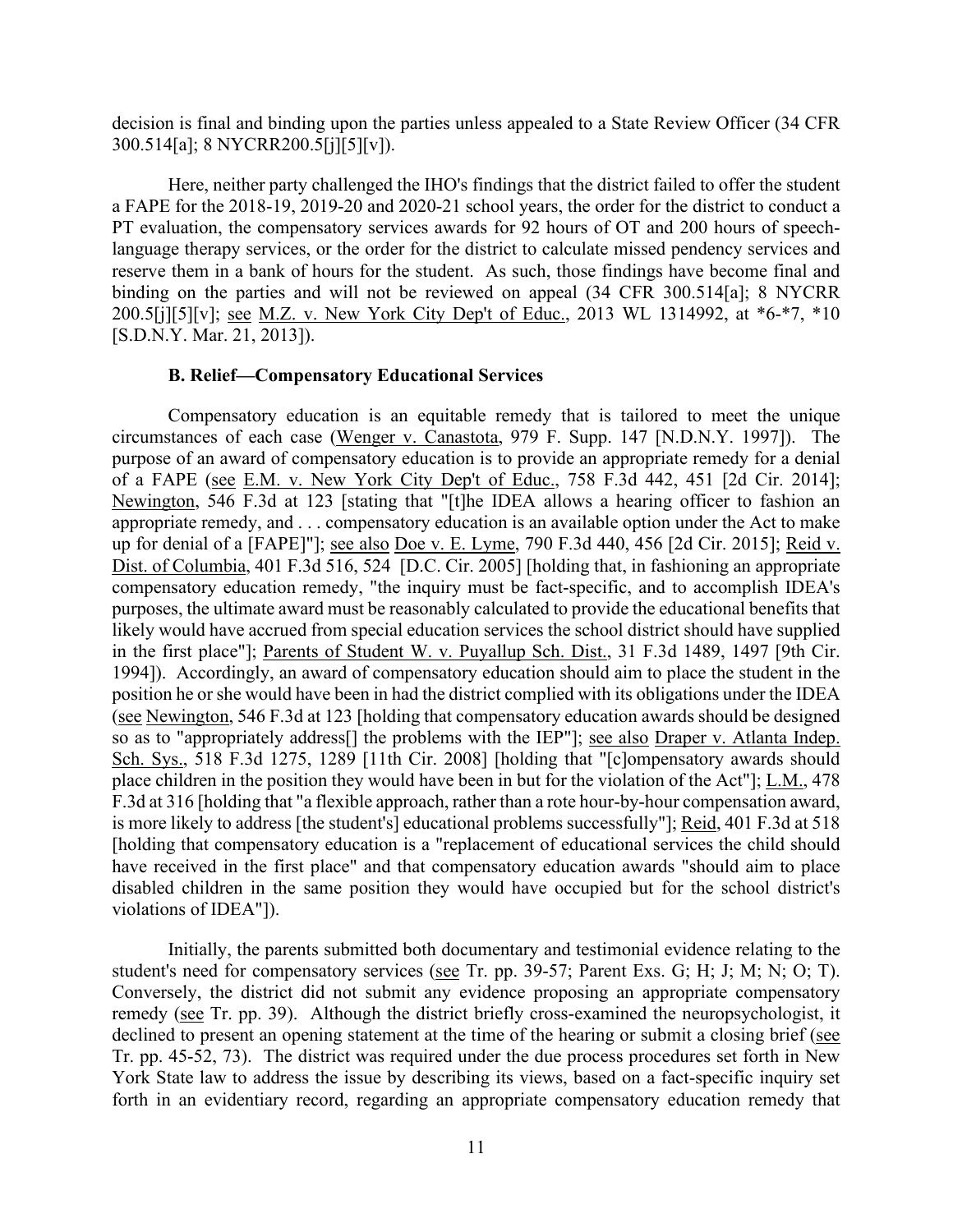decision is final and binding upon the parties unless appealed to a State Review Officer (34 CFR 300.514[a]; 8 NYCRR200.5[j][5][v]).

 language therapy services, or the order for the district to calculate missed pendency services and reserve them in a bank of hours for the student. As such, those findings have become final and Here, neither party challenged the IHO's findings that the district failed to offer the student a FAPE for the 2018-19, 2019-20 and 2020-21 school years, the order for the district to conduct a PT evaluation, the compensatory services awards for 92 hours of OT and 200 hours of speechbinding on the parties and will not be reviewed on appeal (34 CFR 300.514[a]; 8 NYCRR 200.5[j][5][v]; see M.Z. v. New York City Dep't of Educ., 2013 WL 1314992, at \*6-\*7, \*10 [S.D.N.Y. Mar. 21, 2013]).

### **B. Relief—Compensatory Educational Services**

 purpose of an award of compensatory education is to provide an appropriate remedy for a denial up for denial of a [FAPE]"]; <u>see also Doe v. E. Lyme</u>, 790 F.3d 440, 456 [2d Cir. 2015]; <u>Reid v.</u> Dist. of Columbia, 401 F.3d 516, 524 [D.C. Cir. 2005] [holding that, in fashioning an appropriate position he or she would have been in had the district complied with its obligations under the IDEA have received in the first place" and that compensatory education awards "should aim to place Compensatory education is an equitable remedy that is tailored to meet the unique circumstances of each case (Wenger v. Canastota, 979 F. Supp. 147 [N.D.N.Y. 1997]). The of a FAPE (see E.M. v. New York City Dep't of Educ., 758 F.3d 442, 451 [2d Cir. 2014]; Newington, 546 F.3d at 123 [stating that "[t]he IDEA allows a hearing officer to fashion an appropriate remedy, and . . . compensatory education is an available option under the Act to make compensatory education remedy, "the inquiry must be fact-specific, and to accomplish IDEA's purposes, the ultimate award must be reasonably calculated to provide the educational benefits that likely would have accrued from special education services the school district should have supplied in the first place"]; Parents of Student W. v. Puyallup Sch. Dist., 31 F.3d 1489, 1497 [9th Cir. 1994]). Accordingly, an award of compensatory education should aim to place the student in the (see Newington, 546 F.3d at 123 [holding that compensatory education awards should be designed so as to "appropriately address[] the problems with the IEP"]; see also Draper v. Atlanta Indep. Sch. Sys., 518 F.3d 1275, 1289 [11th Cir. 2008] [holding that "[c]ompensatory awards should place children in the position they would have been in but for the violation of the Act"]; L.M., 478 F.3d at 316 [holding that "a flexible approach, rather than a rote hour-by-hour compensation award, is more likely to address [the student's] educational problems successfully"]; Reid, 401 F.3d at 518 [holding that compensatory education is a "replacement of educational services the child should disabled children in the same position they would have occupied but for the school district's violations of IDEA"]).

 Initially, the parents submitted both documentary and testimonial evidence relating to the remedy (see Tr. pp. 39). Although the district briefly cross-examined the neuropsychologist, it Tr. pp. 45-52, 73). The district was required under the due process procedures set forth in New student's need for compensatory services (see Tr. pp. 39-57; Parent Exs. G; H; J; M; N; O; T). Conversely, the district did not submit any evidence proposing an appropriate compensatory declined to present an opening statement at the time of the hearing or submit a closing brief (see York State law to address the issue by describing its views, based on a fact-specific inquiry set forth in an evidentiary record, regarding an appropriate compensatory education remedy that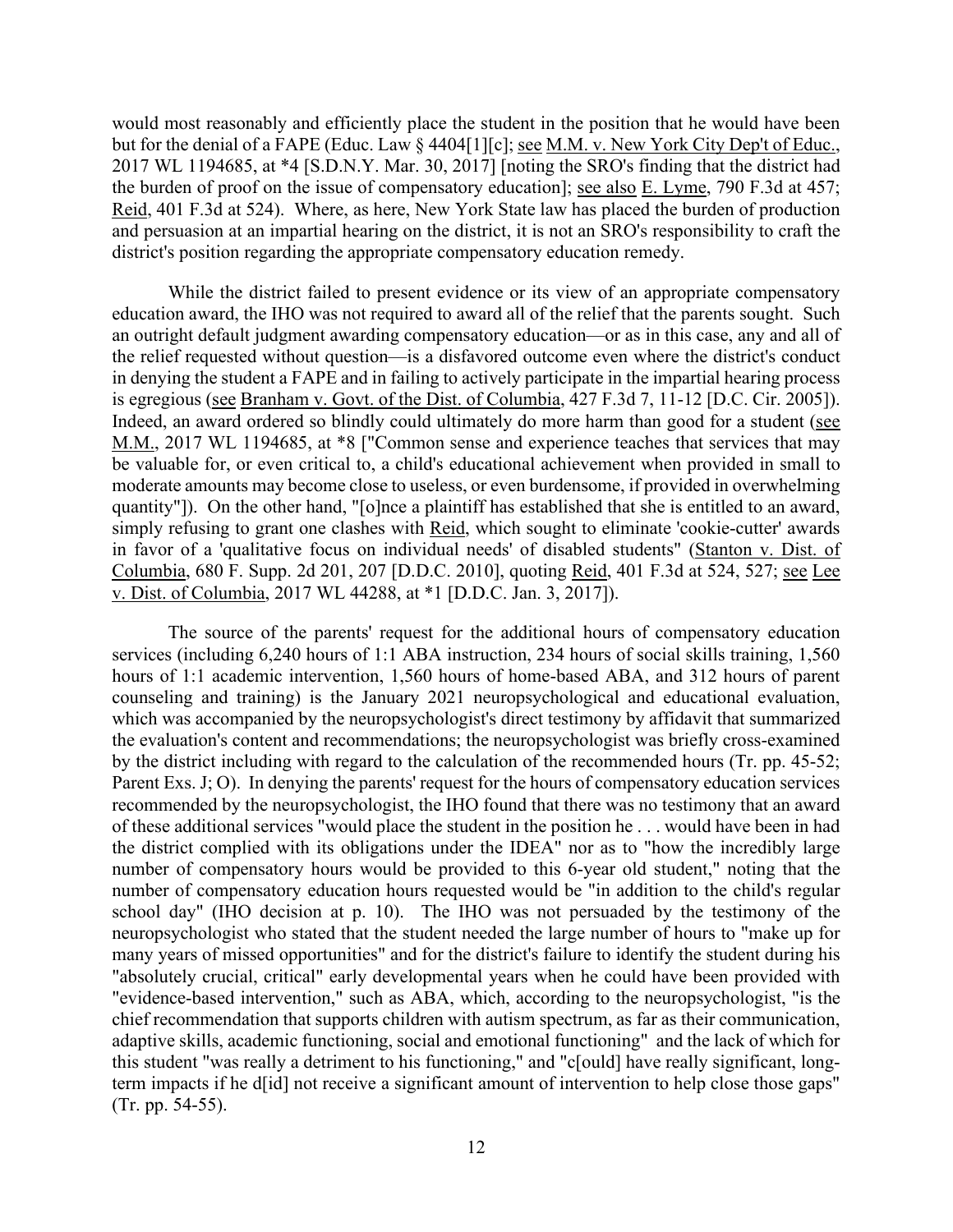would most reasonably and efficiently place the student in the position that he would have been but for the denial of a FAPE (Educ. Law § 4404[1][c]; <u>see M.M. v. New York City Dep't of Educ.</u>, 2017 WL 1194685, at \*4 [S.D.N.Y. Mar. 30, 2017] [noting the SRO's finding that the district had the burden of proof on the issue of compensatory education]; <u>see also E. Lyme</u>, 790 F.3d at 457; Reid, 401 F.3d at 524). Where, as here, New York State law has placed the burden of production and persuasion at an impartial hearing on the district, it is not an SRO's responsibility to craft the district's position regarding the appropriate compensatory education remedy.

 quantity"]). On the other hand, "[o]nce a plaintiff has established that she is entitled to an award, While the district failed to present evidence or its view of an appropriate compensatory education award, the IHO was not required to award all of the relief that the parents sought. Such an outright default judgment awarding compensatory education—or as in this case, any and all of the relief requested without question—is a disfavored outcome even where the district's conduct in denying the student a FAPE and in failing to actively participate in the impartial hearing process is egregious (see Branham v. Govt. of the Dist. of Columbia, 427 F.3d 7, 11-12 [D.C. Cir. 2005]). Indeed, an award ordered so blindly could ultimately do more harm than good for a student (see M.M., 2017 WL 1194685, at \*8 ["Common sense and experience teaches that services that may be valuable for, or even critical to, a child's educational achievement when provided in small to moderate amounts may become close to useless, or even burdensome, if provided in overwhelming simply refusing to grant one clashes with Reid, which sought to eliminate 'cookie-cutter' awards in favor of a 'qualitative focus on individual needs' of disabled students" (Stanton v. Dist. of Columbia, 680 F. Supp. 2d 201, 207 [D.D.C. 2010], quoting Reid, 401 F.3d at 524, 527; see Lee v. Dist. of Columbia, 2017 WL 44288, at \*1 [D.D.C. Jan. 3, 2017]).

 which was accompanied by the neuropsychologist's direct testimony by affidavit that summarized Parent Exs. J; O). In denying the parents' request for the hours of compensatory education services of these additional services "would place the student in the position he . . . would have been in had number of compensatory hours would be provided to this 6-year old student," noting that the school day" (IHO decision at p. 10). The IHO was not persuaded by the testimony of the neuropsychologist who stated that the student needed the large number of hours to "make up for many years of missed opportunities" and for the district's failure to identify the student during his "absolutely crucial, critical" early developmental years when he could have been provided with "evidence-based intervention," such as ABA, which, according to the neuropsychologist, "is the this student "was really a detriment to his functioning," and "c[ould] have really significant, long- term impacts if he d[id] not receive a significant amount of intervention to help close those gaps" (Tr. pp. 54-55). The source of the parents' request for the additional hours of compensatory education services (including 6,240 hours of 1:1 ABA instruction, 234 hours of social skills training, 1,560 hours of 1:1 academic intervention, 1,560 hours of home-based ABA, and 312 hours of parent counseling and training) is the January 2021 neuropsychological and educational evaluation, the evaluation's content and recommendations; the neuropsychologist was briefly cross-examined by the district including with regard to the calculation of the recommended hours (Tr. pp. 45-52; recommended by the neuropsychologist, the IHO found that there was no testimony that an award the district complied with its obligations under the IDEA" nor as to "how the incredibly large number of compensatory education hours requested would be "in addition to the child's regular chief recommendation that supports children with autism spectrum, as far as their communication, adaptive skills, academic functioning, social and emotional functioning" and the lack of which for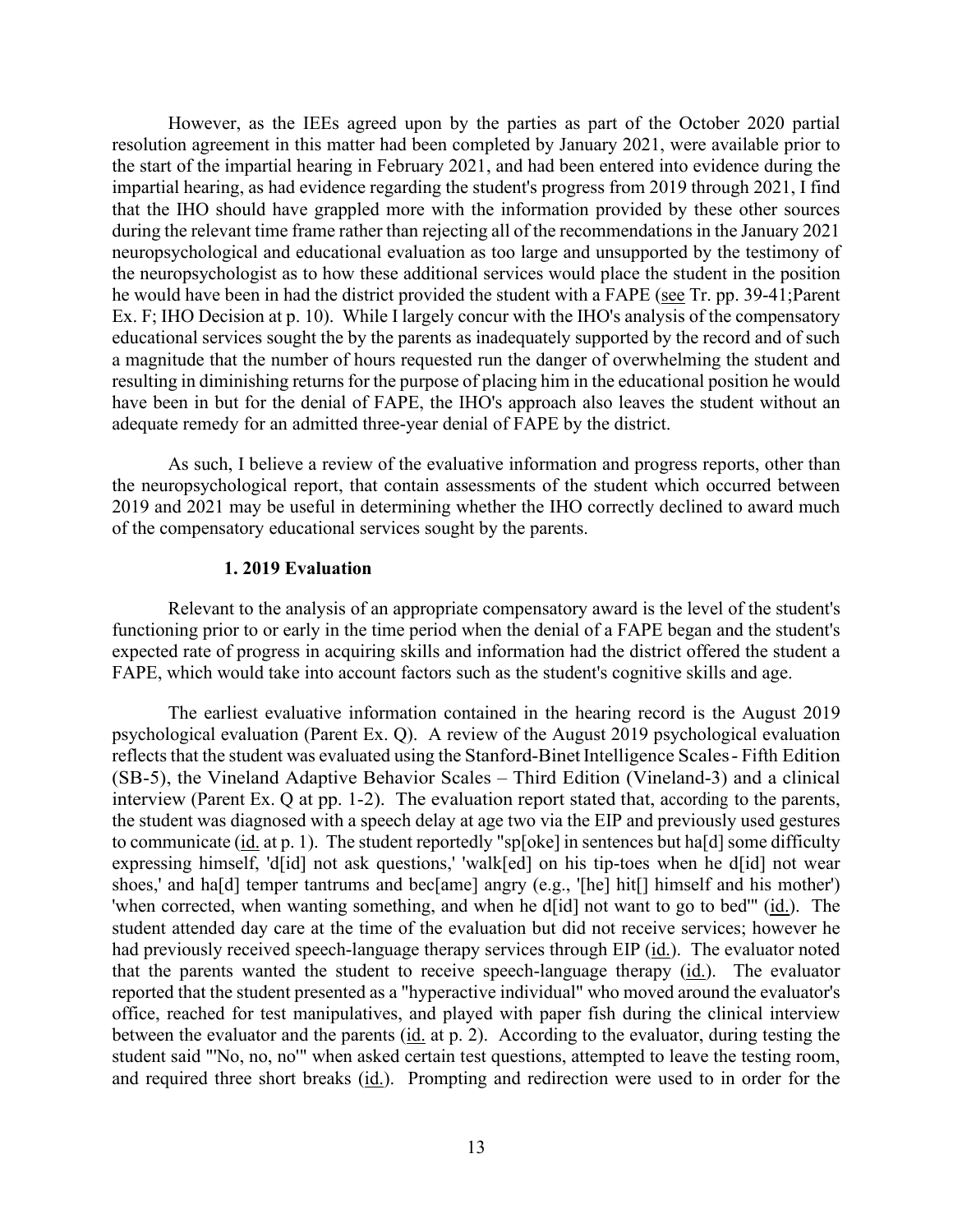However, as the IEEs agreed upon by the parties as part of the October 2020 partial resolution agreement in this matter had been completed by January 2021, were available prior to the neuropsychologist as to how these additional services would place the student in the position Ex. F; IHO Decision at p. 10). While I largely concur with the IHO's analysis of the compensatory adequate remedy for an admitted three-year denial of FAPE by the district. the start of the impartial hearing in February 2021, and had been entered into evidence during the impartial hearing, as had evidence regarding the student's progress from 2019 through 2021, I find that the IHO should have grappled more with the information provided by these other sources during the relevant time frame rather than rejecting all of the recommendations in the January 2021 neuropsychological and educational evaluation as too large and unsupported by the testimony of he would have been in had the district provided the student with a FAPE (see Tr. pp. 39-41;Parent educational services sought the by the parents as inadequately supported by the record and of such a magnitude that the number of hours requested run the danger of overwhelming the student and resulting in diminishing returns for the purpose of placing him in the educational position he would have been in but for the denial of FAPE, the IHO's approach also leaves the student without an

 As such, I believe a review of the evaluative information and progress reports, other than 2019 and 2021 may be useful in determining whether the IHO correctly declined to award much of the compensatory educational services sought by the parents. the neuropsychological report, that contain assessments of the student which occurred between

#### **1. 2019 Evaluation**

Relevant to the analysis of an appropriate compensatory award is the level of the student's functioning prior to or early in the time period when the denial of a FAPE began and the student's expected rate of progress in acquiring skills and information had the district offered the student a FAPE, which would take into account factors such as the student's cognitive skills and age.

 reflects that the student was evaluated using the Stanford-Binet Intelligence Scales- Fifth Edition (SB-5), the Vineland Adaptive Behavior Scales – Third Edition (Vineland-3) and a clinical interview (Parent Ex. Q at pp. 1-2). The evaluation report stated that, according to the parents, the student was diagnosed with a speech delay at age two via the EIP and previously used gestures to communicate (id. at p. 1). The student reportedly "sp[oke] in sentences but ha[d] some difficulty expressing himself, 'd[id] not ask questions,' 'walk[ed] on his tip-toes when he d[id] not wear shoes,' and ha[d] temper tantrums and bec[ame] angry (e.g., '[he] hit[] himself and his mother') 'when corrected, when wanting something, and when he d[id] not want to go to bed'" (id.). The student attended day care at the time of the evaluation but did not receive services; however he had previously received speech-language therapy services through EIP (id.). The evaluator noted that the parents wanted the student to receive speech-language therapy (id.). The evaluator between the evaluator and the parents (*id.* at p. 2). According to the evaluator, during testing the and required three short breaks (id.). Prompting and redirection were used to in order for the The earliest evaluative information contained in the hearing record is the August 2019 psychological evaluation (Parent Ex. Q). A review of the August 2019 psychological evaluation reported that the student presented as a "hyperactive individual" who moved around the evaluator's office, reached for test manipulatives, and played with paper fish during the clinical interview student said "'No, no, no'" when asked certain test questions, attempted to leave the testing room,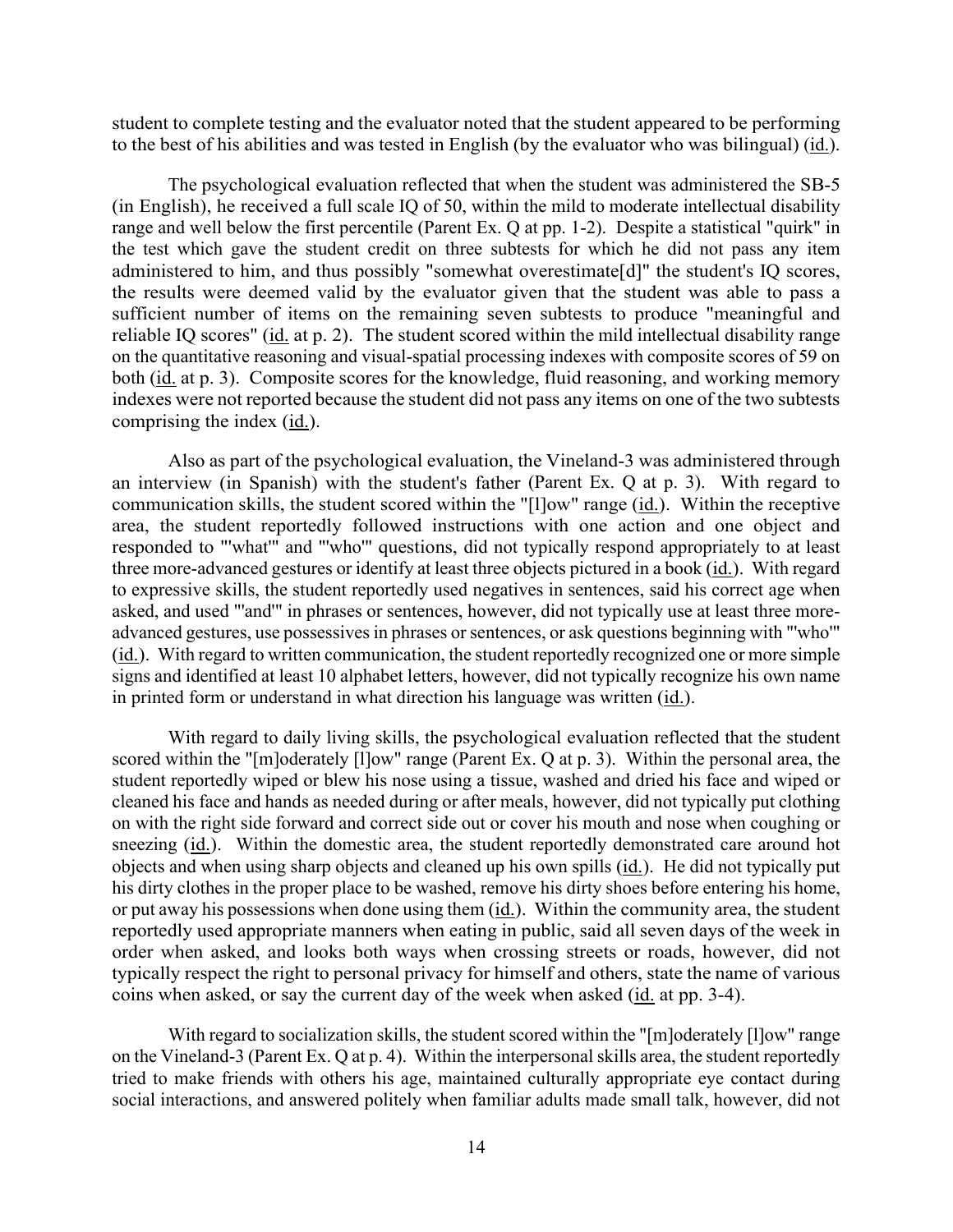to the best of his abilities and was tested in English (by the evaluator who was bilingual) (id.). student to complete testing and the evaluator noted that the student appeared to be performing

 range and well below the first percentile (Parent Ex. Q at pp. 1-2). Despite a statistical "quirk" in the test which gave the student credit on three subtests for which he did not pass any item administered to him, and thus possibly "somewhat overestimate[d]" the student's IQ scores, the results were deemed valid by the evaluator given that the student was able to pass a sufficient number of items on the remaining seven subtests to produce "meaningful and reliable IQ scores" (id. at p. 2). The student scored within the mild intellectual disability range both (id. at p. 3). Composite scores for the knowledge, fluid reasoning, and working memory indexes were not reported because the student did not pass any items on one of the two subtests The psychological evaluation reflected that when the student was administered the SB-5 (in English), he received a full scale IQ of 50, within the mild to moderate intellectual disability on the quantitative reasoning and visual-spatial processing indexes with composite scores of 59 on comprising the index  $(id.)$ .

 Also as part of the psychological evaluation, the Vineland-3 was administered through an interview (in Spanish) with the student's father (Parent Ex. Q at p. 3). With regard to communication skills, the student scored within the "[1]ow" range (*id.*). Within the receptive to expressive skills, the student reportedly used negatives in sentences, said his correct age when (id.). With regard to written communication, the student reportedly recognized one or more simple area, the student reportedly followed instructions with one action and one object and responded to "'what'" and "'who'" questions, did not typically respond appropriately to at least three more-advanced gestures or identify at least three objects pictured in a book (id.). With regard asked, and used "'and'" in phrases or sentences, however, did not typically use at least three moreadvanced gestures, use possessives in phrases or sentences, or ask questions beginning with "'who'" signs and identified at least 10 alphabet letters, however, did not typically recognize his own name in printed form or understand in what direction his language was written (id.).

 student reportedly wiped or blew his nose using a tissue, washed and dried his face and wiped or his dirty clothes in the proper place to be washed, remove his dirty shoes before entering his home, or put away his possessions when done using them  $(id.)$ . Within the community area, the student reportedly used appropriate manners when eating in public, said all seven days of the week in order when asked, and looks both ways when crossing streets or roads, however, did not typically respect the right to personal privacy for himself and others, state the name of various coins when asked, or say the current day of the week when asked (*id.* at pp. 3-4). With regard to daily living skills, the psychological evaluation reflected that the student scored within the "[m]oderately [l]ow" range (Parent Ex. Q at p. 3). Within the personal area, the cleaned his face and hands as needed during or after meals, however, did not typically put clothing on with the right side forward and correct side out or cover his mouth and nose when coughing or sneezing (id.). Within the domestic area, the student reportedly demonstrated care around hot objects and when using sharp objects and cleaned up his own spills (id.). He did not typically put

 on the Vineland-3 (Parent Ex. Q at p. 4). Within the interpersonal skills area, the student reportedly With regard to socialization skills, the student scored within the "[m]oderately [1]ow" range tried to make friends with others his age, maintained culturally appropriate eye contact during social interactions, and answered politely when familiar adults made small talk, however, did not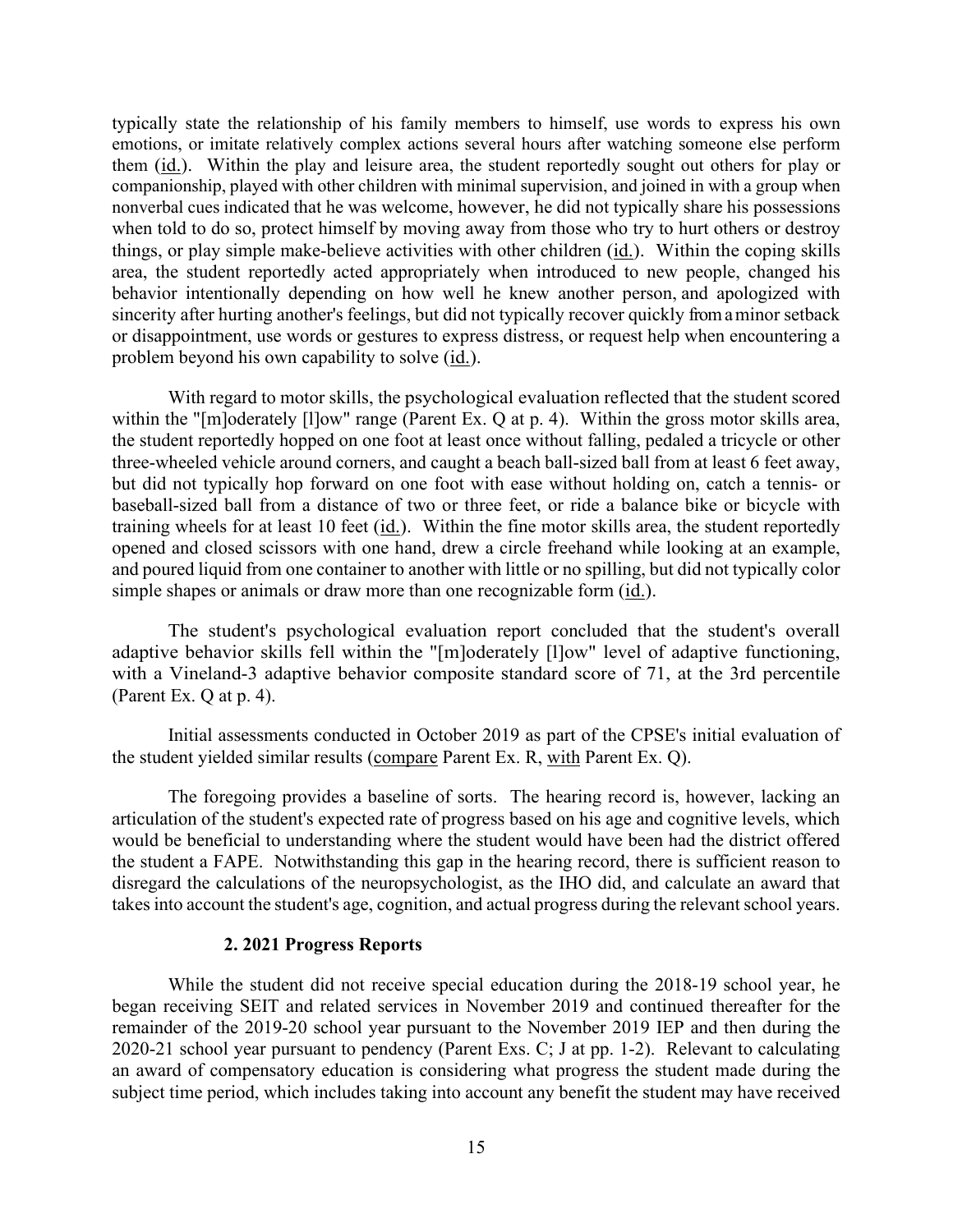companionship, played with other children with minimal supervision, and joined in with a group when area, the student reportedly acted appropriately when introduced to new people, changed his behavior intentionally depending on how well he knew another person, and apologized with sincerity after hurting another's feelings, but did not typically recover quickly from a minor setback problem beyond his own capability to solve (id.). typically state the relationship of his family members to himself, use words to express his own emotions, or imitate relatively complex actions several hours after watching someone else perform them (id.). Within the play and leisure area, the student reportedly sought out others for play or nonverbal cues indicated that he was welcome, however, he did not typically share his possessions when told to do so, protect himself by moving away from those who try to hurt others or destroy things, or play simple make-believe activities with other children (id.). Within the coping skills or disappointment, use words or gestures to express distress, or request help when encountering a

 baseball-sized ball from a distance of two or three feet, or ride a balance bike or bicycle with training wheels for at least 10 feet (*id.*). Within the fine motor skills area, the student reportedly opened and closed scissors with one hand, drew a circle freehand while looking at an example, and poured liquid from one container to another with little or no spilling, but did not typically color With regard to motor skills, the psychological evaluation reflected that the student scored within the "[m]oderately [l]ow" range (Parent Ex. Q at p. 4). Within the gross motor skills area, the student reportedly hopped on one foot at least once without falling, pedaled a tricycle or other three-wheeled vehicle around corners, and caught a beach ball-sized ball from at least 6 feet away, but did not typically hop forward on one foot with ease without holding on, catch a tennis- or simple shapes or animals or draw more than one recognizable form (id.).

 adaptive behavior skills fell within the "[m]oderately [l]ow" level of adaptive functioning, with a Vineland-3 adaptive behavior composite standard score of 71, at the 3rd percentile (Parent Ex. Q at p. 4). The student's psychological evaluation report concluded that the student's overall

the student yielded similar results (compare Parent Ex. R, with Parent Ex. Q). Initial assessments conducted in October 2019 as part of the CPSE's initial evaluation of

 articulation of the student's expected rate of progress based on his age and cognitive levels, which disregard the calculations of the neuropsychologist, as the IHO did, and calculate an award that The foregoing provides a baseline of sorts. The hearing record is, however, lacking an would be beneficial to understanding where the student would have been had the district offered the student a FAPE. Notwithstanding this gap in the hearing record, there is sufficient reason to takes into account the student's age, cognition, and actual progress during the relevant school years.

#### **2. 2021 Progress Reports**

 2020-21 school year pursuant to pendency (Parent Exs. C; J at pp. 1-2). Relevant to calculating While the student did not receive special education during the 2018-19 school year, he began receiving SEIT and related services in November 2019 and continued thereafter for the remainder of the 2019-20 school year pursuant to the November 2019 IEP and then during the an award of compensatory education is considering what progress the student made during the subject time period, which includes taking into account any benefit the student may have received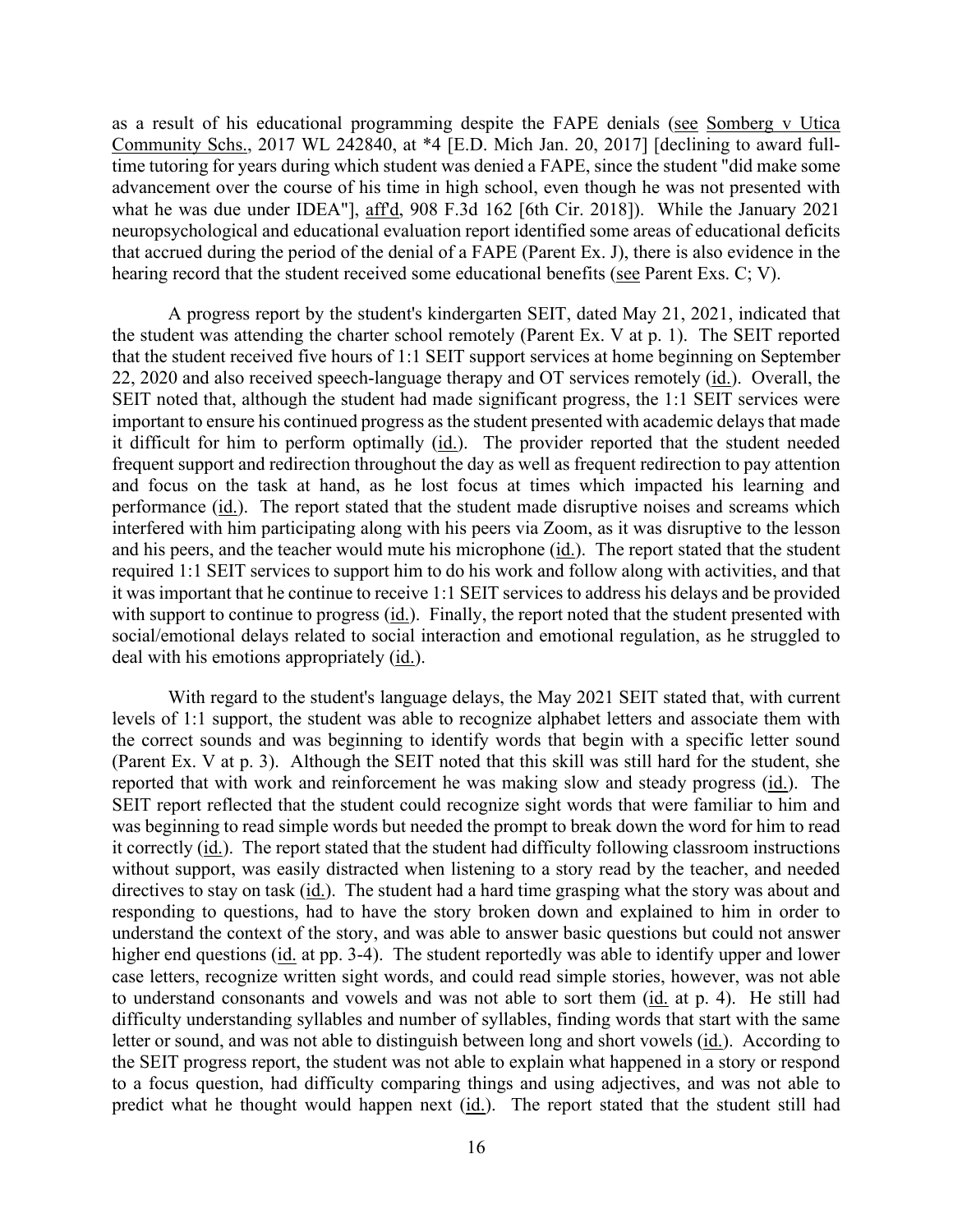what he was due under IDEA"], aff<sup>'d</sup>, 908 F.3d 162 [6th Cir. 2018]). While the January 2021 that accrued during the period of the denial of a FAPE (Parent Ex. J), there is also evidence in the hearing record that the student received some educational benefits (see Parent Exs. C; V). as a result of his educational programming despite the FAPE denials (see Somberg v Utica Community Schs., 2017 WL 242840, at \*4 [E.D. Mich Jan. 20, 2017] [declining to award fulltime tutoring for years during which student was denied a FAPE, since the student "did make some advancement over the course of his time in high school, even though he was not presented with neuropsychological and educational evaluation report identified some areas of educational deficits

22, 2020 and also received speech-language therapy and OT services remotely (id.). Overall, the and focus on the task at hand, as he lost focus at times which impacted his learning and performance (*id.*). The report stated that the student made disruptive noises and screams which interfered with him participating along with his peers via Zoom, as it was disruptive to the lesson and his peers, and the teacher would mute his microphone (*id.*). The report stated that the student with support to continue to progress (*id.*). Finally, the report noted that the student presented with deal with his emotions appropriately (id.). A progress report by the student's kindergarten SEIT, dated May 21, 2021, indicated that the student was attending the charter school remotely (Parent Ex. V at p. 1). The SEIT reported that the student received five hours of 1:1 SEIT support services at home beginning on September SEIT noted that, although the student had made significant progress, the 1:1 SEIT services were important to ensure his continued progress as the student presented with academic delays that made it difficult for him to perform optimally (id.). The provider reported that the student needed frequent support and redirection throughout the day as well as frequent redirection to pay attention required 1:1 SEIT services to support him to do his work and follow along with activities, and that it was important that he continue to receive 1:1 SEIT services to address his delays and be provided social/emotional delays related to social interaction and emotional regulation, as he struggled to

 (Parent Ex. V at p. 3). Although the SEIT noted that this skill was still hard for the student, she was beginning to read simple words but needed the prompt to break down the word for him to read it correctly (id.). The report stated that the student had difficulty following classroom instructions without support, was easily distracted when listening to a story read by the teacher, and needed directives to stay on task (id.). The student had a hard time grasping what the story was about and responding to questions, had to have the story broken down and explained to him in order to higher end questions (id. at pp. 3-4). The student reportedly was able to identify upper and lower case letters, recognize written sight words, and could read simple stories, however, was not able to understand consonants and vowels and was not able to sort them (id. at p. 4). He still had letter or sound, and was not able to distinguish between long and short vowels (id.). According to the SEIT progress report, the student was not able to explain what happened in a story or respond predict what he thought would happen next (id.). The report stated that the student still had With regard to the student's language delays, the May 2021 SEIT stated that, with current levels of 1:1 support, the student was able to recognize alphabet letters and associate them with the correct sounds and was beginning to identify words that begin with a specific letter sound reported that with work and reinforcement he was making slow and steady progress (id.). The SEIT report reflected that the student could recognize sight words that were familiar to him and understand the context of the story, and was able to answer basic questions but could not answer difficulty understanding syllables and number of syllables, finding words that start with the same to a focus question, had difficulty comparing things and using adjectives, and was not able to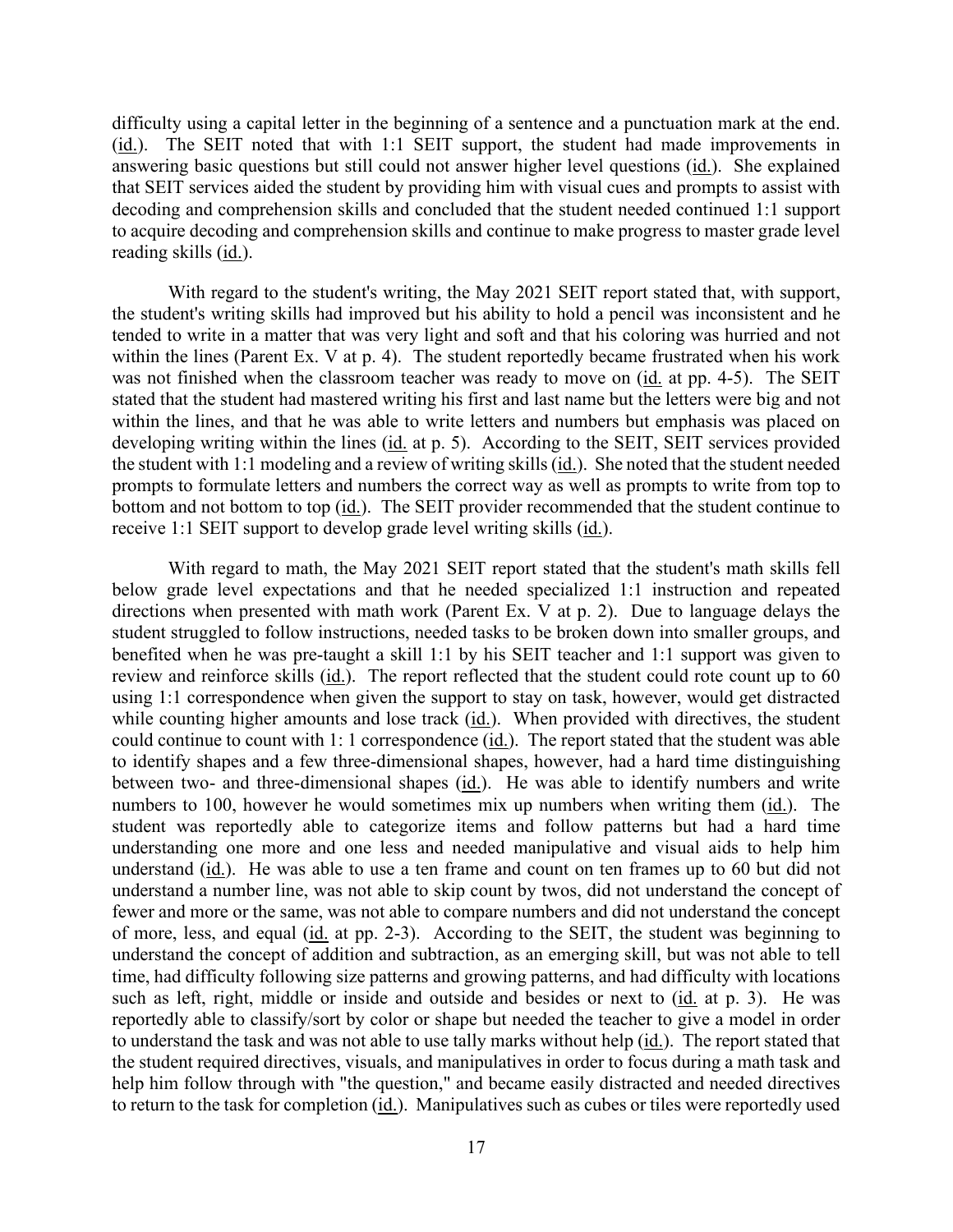(id.). The SEIT noted that with 1:1 SEIT support, the student had made improvements in decoding and comprehension skills and concluded that the student needed continued 1:1 support to acquire decoding and comprehension skills and continue to make progress to master grade level reading skills (id.). difficulty using a capital letter in the beginning of a sentence and a punctuation mark at the end. answering basic questions but still could not answer higher level questions (id.). She explained that SEIT services aided the student by providing him with visual cues and prompts to assist with

 the student's writing skills had improved but his ability to hold a pencil was inconsistent and he was not finished when the classroom teacher was ready to move on (id. at pp. 4-5). The SEIT stated that the student had mastered writing his first and last name but the letters were big and not developing writing within the lines (id. at p. 5). According to the SEIT, SEIT services provided the student with 1:1 modeling and a review of writing skills (*id.*). She noted that the student needed prompts to formulate letters and numbers the correct way as well as prompts to write from top to bottom and not bottom to top (id.). The SEIT provider recommended that the student continue to receive 1:1 SEIT support to develop grade level writing skills (*id.*). With regard to the student's writing, the May 2021 SEIT report stated that, with support, tended to write in a matter that was very light and soft and that his coloring was hurried and not within the lines (Parent Ex. V at p. 4). The student reportedly became frustrated when his work within the lines, and that he was able to write letters and numbers but emphasis was placed on

 directions when presented with math work (Parent Ex. V at p. 2). Due to language delays the student struggled to follow instructions, needed tasks to be broken down into smaller groups, and review and reinforce skills (id.). The report reflected that the student could rote count up to 60 student was reportedly able to categorize items and follow patterns but had a hard time understand (id.). He was able to use a ten frame and count on ten frames up to 60 but did not fewer and more or the same, was not able to compare numbers and did not understand the concept of more, less, and equal (id. at pp. 2-3). According to the SEIT, the student was beginning to such as left, right, middle or inside and outside and besides or next to (id. at p. 3). He was to return to the task for completion (*id.*). Manipulatives such as cubes or tiles were reportedly used With regard to math, the May 2021 SEIT report stated that the student's math skills fell below grade level expectations and that he needed specialized 1:1 instruction and repeated benefited when he was pre-taught a skill 1:1 by his SEIT teacher and 1:1 support was given to using 1:1 correspondence when given the support to stay on task, however, would get distracted while counting higher amounts and lose track (id.). When provided with directives, the student could continue to count with 1: 1 correspondence (id.). The report stated that the student was able to identify shapes and a few three-dimensional shapes, however, had a hard time distinguishing between two- and three-dimensional shapes (id.). He was able to identify numbers and write numbers to 100, however he would sometimes mix up numbers when writing them (id.). The understanding one more and one less and needed manipulative and visual aids to help him understand a number line, was not able to skip count by twos, did not understand the concept of understand the concept of addition and subtraction, as an emerging skill, but was not able to tell time, had difficulty following size patterns and growing patterns, and had difficulty with locations reportedly able to classify/sort by color or shape but needed the teacher to give a model in order to understand the task and was not able to use tally marks without help (id.). The report stated that the student required directives, visuals, and manipulatives in order to focus during a math task and help him follow through with "the question," and became easily distracted and needed directives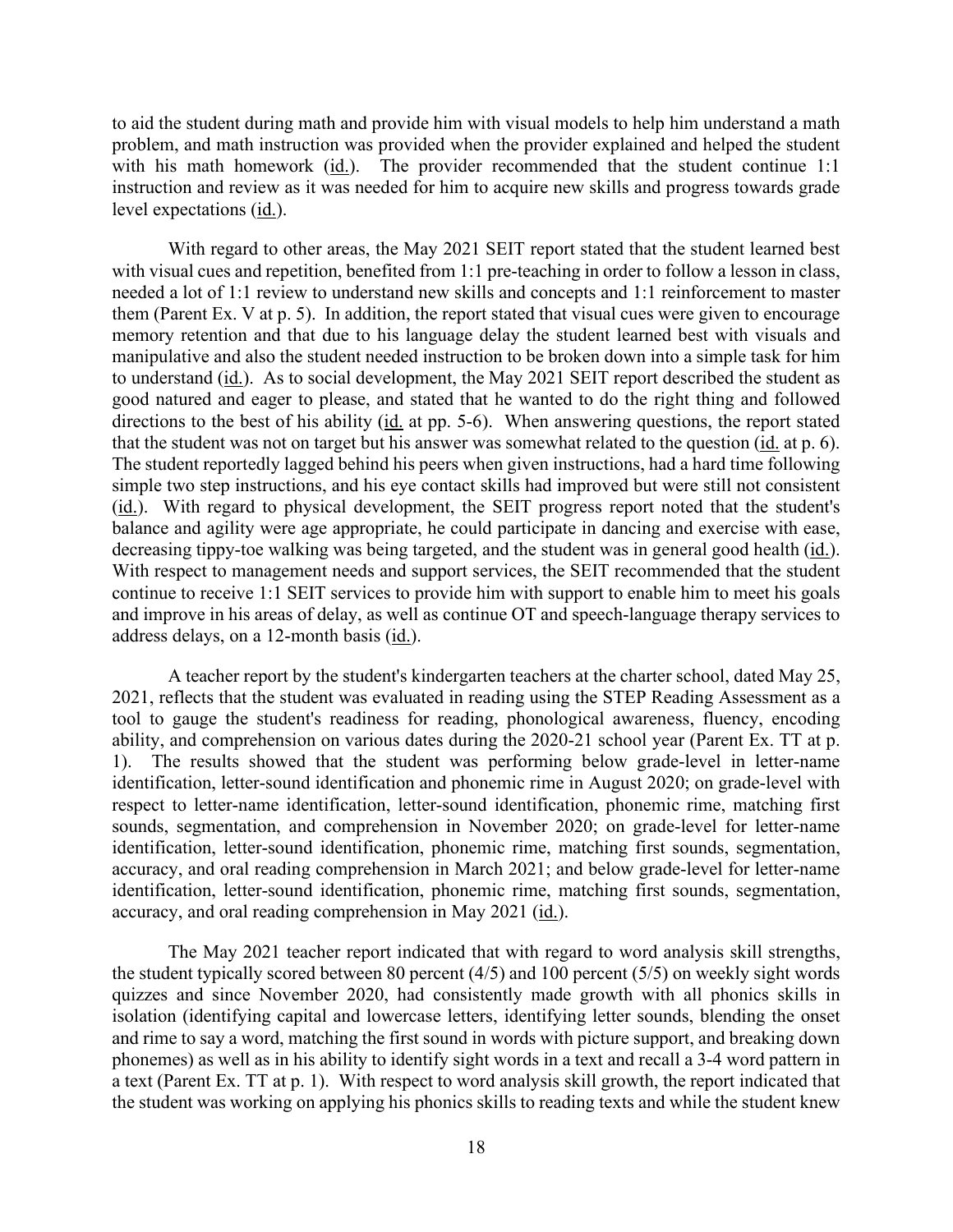to aid the student during math and provide him with visual models to help him understand a math problem, and math instruction was provided when the provider explained and helped the student instruction and review as it was needed for him to acquire new skills and progress towards grade level expectations (id.). with his math homework (id.). The provider recommended that the student continue 1:1

 With regard to other areas, the May 2021 SEIT report stated that the student learned best memory retention and that due to his language delay the student learned best with visuals and to understand (id.). As to social development, the May 2021 SEIT report described the student as directions to the best of his ability (id. at pp. 5-6). When answering questions, the report stated that the student was not on target but his answer was somewhat related to the question (id. at p. 6). simple two step instructions, and his eye contact skills had improved but were still not consistent (id.). With regard to physical development, the SEIT progress report noted that the student's balance and agility were age appropriate, he could participate in dancing and exercise with ease, decreasing tippy-toe walking was being targeted, and the student was in general good health (id.). and improve in his areas of delay, as well as continue OT and speech-language therapy services to address delays, on a 12-month basis (id.). with visual cues and repetition, benefited from 1:1 pre-teaching in order to follow a lesson in class, needed a lot of 1:1 review to understand new skills and concepts and 1:1 reinforcement to master them (Parent Ex. V at p. 5). In addition, the report stated that visual cues were given to encourage manipulative and also the student needed instruction to be broken down into a simple task for him good natured and eager to please, and stated that he wanted to do the right thing and followed The student reportedly lagged behind his peers when given instructions, had a hard time following With respect to management needs and support services, the SEIT recommended that the student continue to receive 1:1 SEIT services to provide him with support to enable him to meet his goals

 identification, letter-sound identification and phonemic rime in August 2020; on grade-level with accuracy, and oral reading comprehension in May 2021 (id.). A teacher report by the student's kindergarten teachers at the charter school, dated May 25, 2021, reflects that the student was evaluated in reading using the STEP Reading Assessment as a tool to gauge the student's readiness for reading, phonological awareness, fluency, encoding ability, and comprehension on various dates during the 2020-21 school year (Parent Ex. TT at p. 1). The results showed that the student was performing below grade-level in letter-name respect to letter-name identification, letter-sound identification, phonemic rime, matching first sounds, segmentation, and comprehension in November 2020; on grade-level for letter-name identification, letter-sound identification, phonemic rime, matching first sounds, segmentation, accuracy, and oral reading comprehension in March 2021; and below grade-level for letter-name identification, letter-sound identification, phonemic rime, matching first sounds, segmentation,

 the student typically scored between 80 percent (4/5) and 100 percent (5/5) on weekly sight words quizzes and since November 2020, had consistently made growth with all phonics skills in phonemes) as well as in his ability to identify sight words in a text and recall a 3-4 word pattern in a text (Parent Ex. TT at p. 1). With respect to word analysis skill growth, the report indicated that The May 2021 teacher report indicated that with regard to word analysis skill strengths, isolation (identifying capital and lowercase letters, identifying letter sounds, blending the onset and rime to say a word, matching the first sound in words with picture support, and breaking down the student was working on applying his phonics skills to reading texts and while the student knew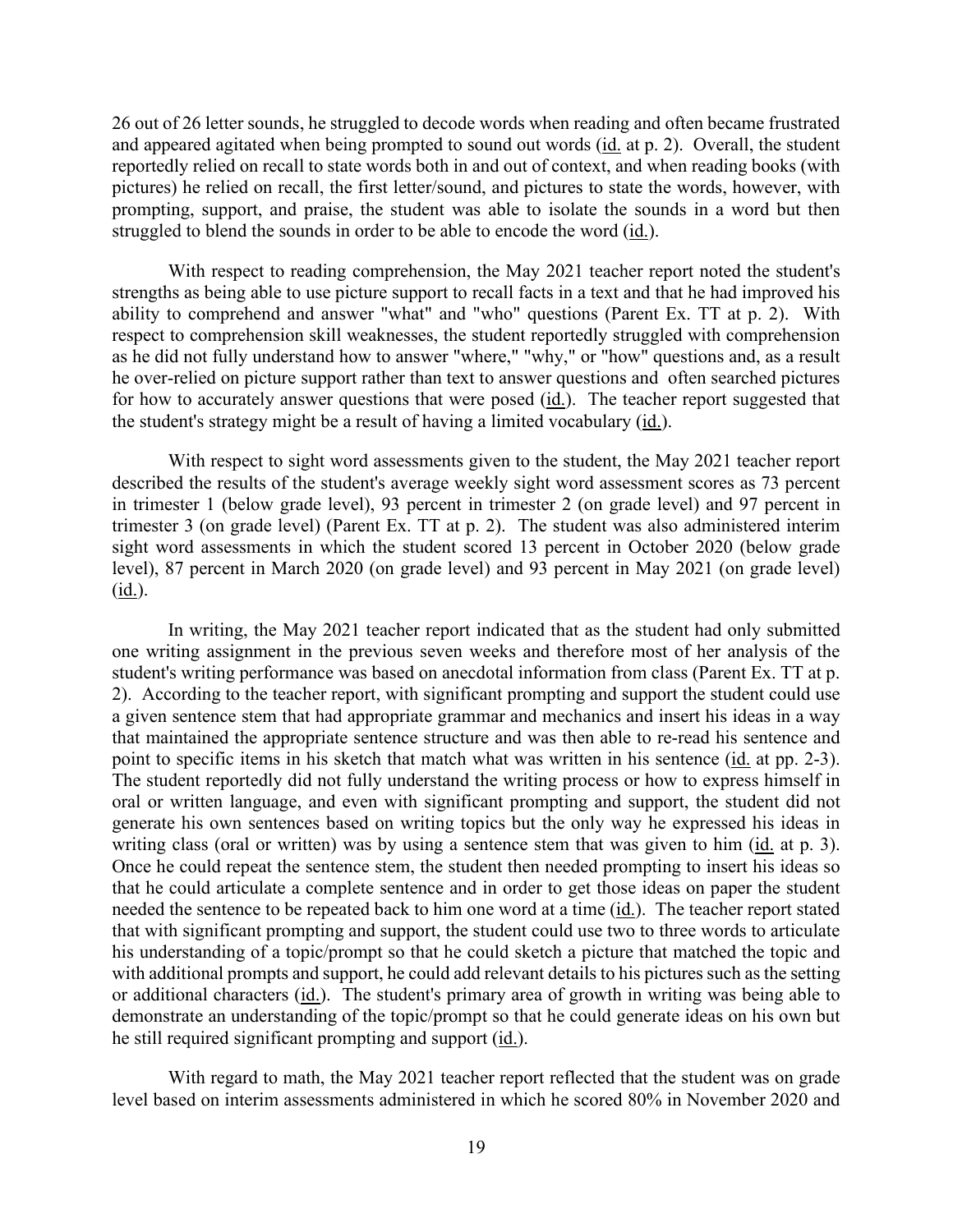and appeared agitated when being prompted to sound out words (id. at p. 2). Overall, the student struggled to blend the sounds in order to be able to encode the word (id.). 26 out of 26 letter sounds, he struggled to decode words when reading and often became frustrated reportedly relied on recall to state words both in and out of context, and when reading books (with pictures) he relied on recall, the first letter/sound, and pictures to state the words, however, with prompting, support, and praise, the student was able to isolate the sounds in a word but then

 ability to comprehend and answer "what" and "who" questions (Parent Ex. TT at p. 2). With as he did not fully understand how to answer "where," "why," or "how" questions and, as a result he over-relied on picture support rather than text to answer questions and often searched pictures for how to accurately answer questions that were posed (*id.*). The teacher report suggested that the student's strategy might be a result of having a limited vocabulary (*id.*). With respect to reading comprehension, the May 2021 teacher report noted the student's strengths as being able to use picture support to recall facts in a text and that he had improved his respect to comprehension skill weaknesses, the student reportedly struggled with comprehension

 described the results of the student's average weekly sight word assessment scores as 73 percent in trimester 1 (below grade level), 93 percent in trimester 2 (on grade level) and 97 percent in sight word assessments in which the student scored 13 percent in October 2020 (below grade level), 87 percent in March 2020 (on grade level) and 93 percent in May 2021 (on grade level) With respect to sight word assessments given to the student, the May 2021 teacher report trimester 3 (on grade level) (Parent Ex. TT at p. 2). The student was also administered interim (id.).

 student's writing performance was based on anecdotal information from class (Parent Ex. TT at p. point to specific items in his sketch that match what was written in his sentence (*id.* at pp. 2-3). oral or written language, and even with significant prompting and support, the student did not writing class (oral or written) was by using a sentence stem that was given to him (*id.* at p. 3). that he could articulate a complete sentence and in order to get those ideas on paper the student needed the sentence to be repeated back to him one word at a time (id.). The teacher report stated that with significant prompting and support, the student could use two to three words to articulate his understanding of a topic/prompt so that he could sketch a picture that matched the topic and demonstrate an understanding of the topic/prompt so that he could generate ideas on his own but he still required significant prompting and support (*id.*). In writing, the May 2021 teacher report indicated that as the student had only submitted one writing assignment in the previous seven weeks and therefore most of her analysis of the 2). According to the teacher report, with significant prompting and support the student could use a given sentence stem that had appropriate grammar and mechanics and insert his ideas in a way that maintained the appropriate sentence structure and was then able to re-read his sentence and The student reportedly did not fully understand the writing process or how to express himself in generate his own sentences based on writing topics but the only way he expressed his ideas in Once he could repeat the sentence stem, the student then needed prompting to insert his ideas so with additional prompts and support, he could add relevant details to his pictures such as the setting or additional characters (id.). The student's primary area of growth in writing was being able to

With regard to math, the May 2021 teacher report reflected that the student was on grade level based on interim assessments administered in which he scored 80% in November 2020 and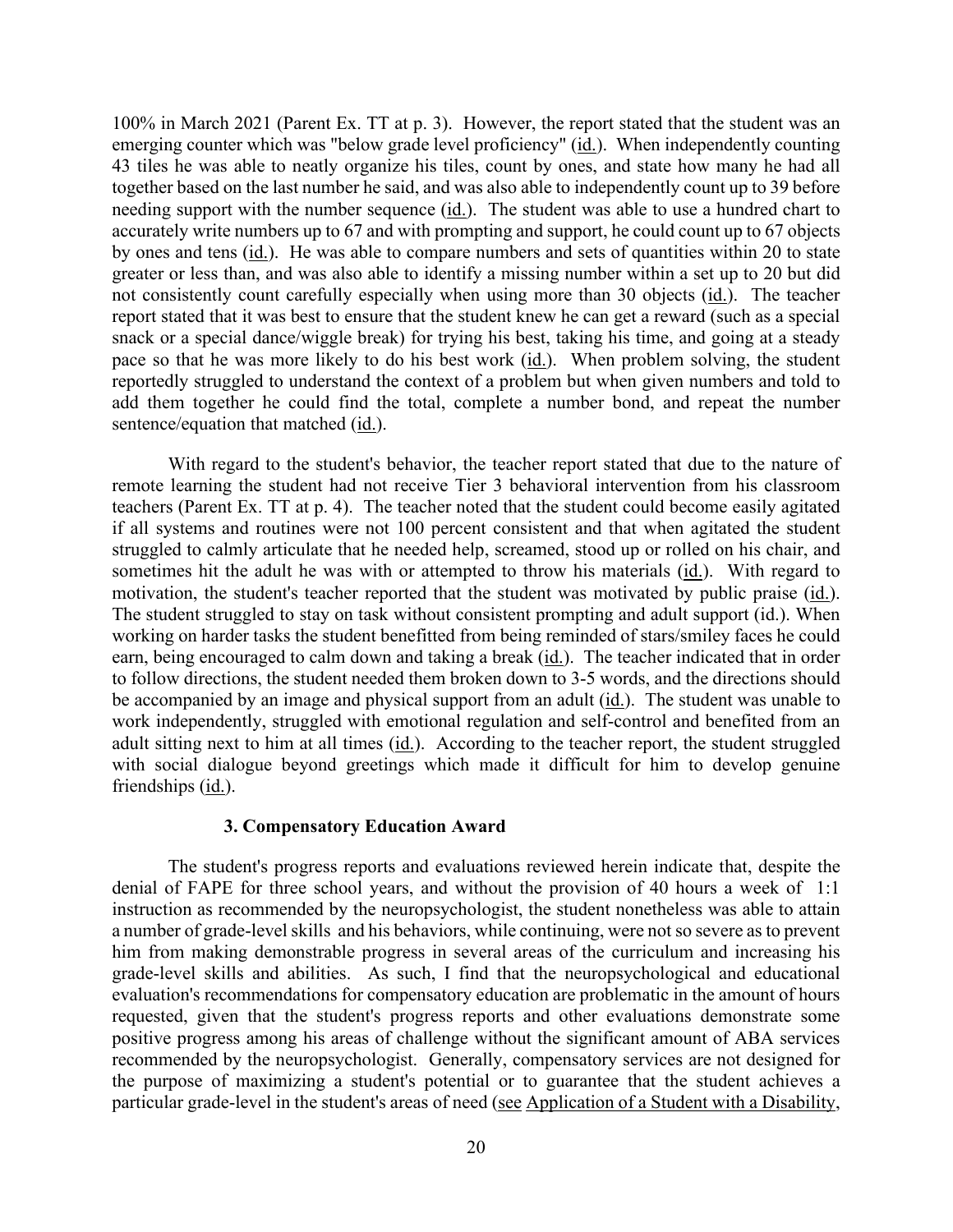emerging counter which was "below grade level proficiency" (id.). When independently counting not consistently count carefully especially when using more than 30 objects (*id.*). The teacher report stated that it was best to ensure that the student knew he can get a reward (such as a special pace so that he was more likely to do his best work (*id.*). When problem solving, the student reportedly struggled to understand the context of a problem but when given numbers and told to sentence/equation that matched (id.). 100% in March 2021 (Parent Ex. TT at p. 3). However, the report stated that the student was an 43 tiles he was able to neatly organize his tiles, count by ones, and state how many he had all together based on the last number he said, and was also able to independently count up to 39 before needing support with the number sequence (id.). The student was able to use a hundred chart to accurately write numbers up to 67 and with prompting and support, he could count up to 67 objects by ones and tens (id.). He was able to compare numbers and sets of quantities within 20 to state greater or less than, and was also able to identify a missing number within a set up to 20 but did snack or a special dance/wiggle break) for trying his best, taking his time, and going at a steady add them together he could find the total, complete a number bond, and repeat the number

earn, being encouraged to calm down and taking a break (id.). The teacher indicated that in order to follow directions, the student needed them broken down to 3-5 words, and the directions should be accompanied by an image and physical support from an adult (id.). The student was unable to work independently, struggled with emotional regulation and self-control and benefited from an With regard to the student's behavior, the teacher report stated that due to the nature of remote learning the student had not receive Tier 3 behavioral intervention from his classroom teachers (Parent Ex. TT at p. 4). The teacher noted that the student could become easily agitated if all systems and routines were not 100 percent consistent and that when agitated the student struggled to calmly articulate that he needed help, screamed, stood up or rolled on his chair, and sometimes hit the adult he was with or attempted to throw his materials (id.). With regard to motivation, the student's teacher reported that the student was motivated by public praise (id.). The student struggled to stay on task without consistent prompting and adult support (id.). When working on harder tasks the student benefitted from being reminded of stars/smiley faces he could adult sitting next to him at all times (id.). According to the teacher report, the student struggled with social dialogue beyond greetings which made it difficult for him to develop genuine friendships (id.).

#### **3. Compensatory Education Award**

 The student's progress reports and evaluations reviewed herein indicate that, despite the denial of FAPE for three school years, and without the provision of 40 hours a week of 1:1 a number of grade-level skills and his behaviors, while continuing, were not so severe as to prevent him from making demonstrable progress in several areas of the curriculum and increasing his grade-level skills and abilities. As such, I find that the neuropsychological and educational requested, given that the student's progress reports and other evaluations demonstrate some positive progress among his areas of challenge without the significant amount of ABA services the purpose of maximizing a student's potential or to guarantee that the student achieves a instruction as recommended by the neuropsychologist, the student nonetheless was able to attain evaluation's recommendations for compensatory education are problematic in the amount of hours recommended by the neuropsychologist. Generally, compensatory services are not designed for particular grade-level in the student's areas of need (see Application of a Student with a Disability,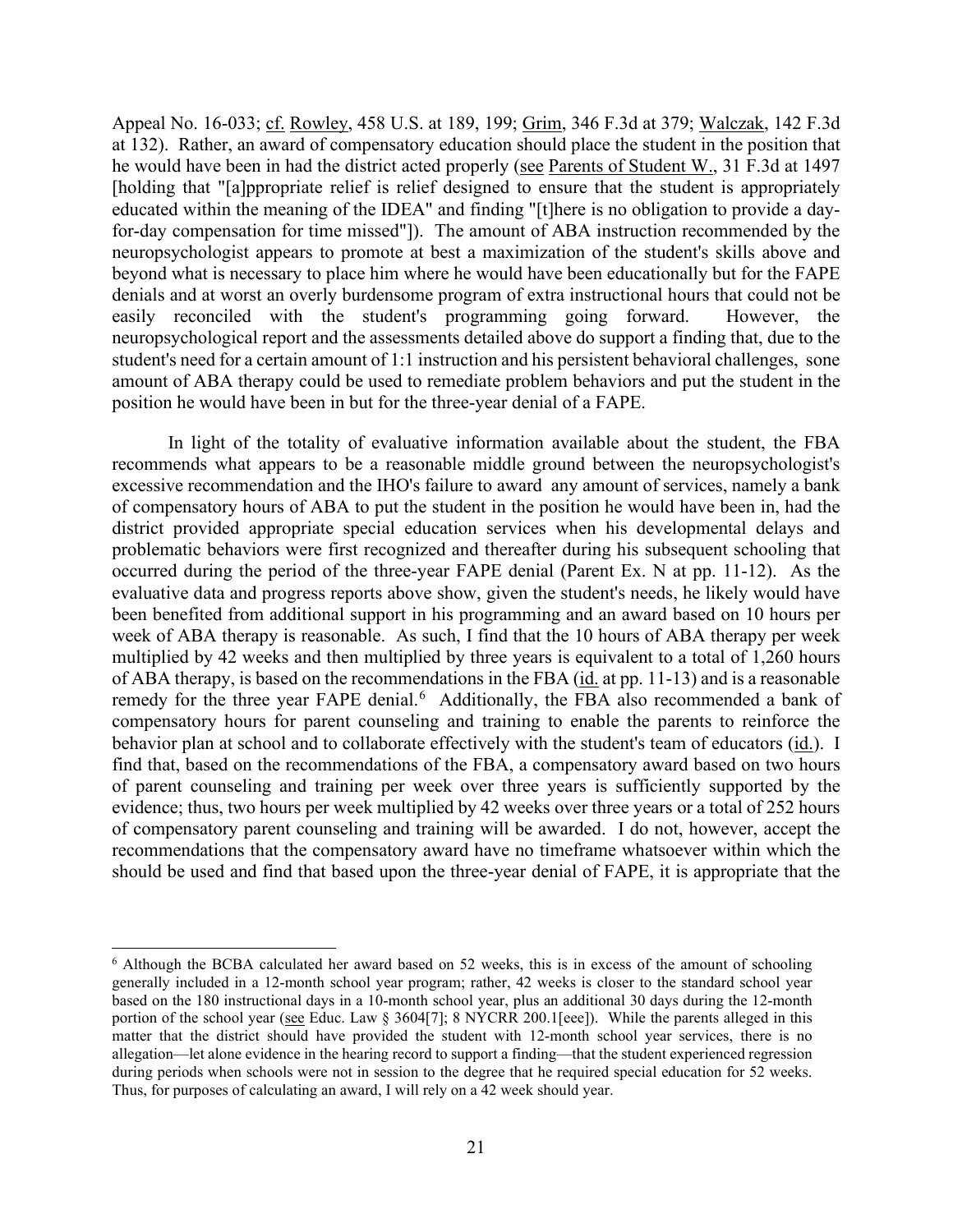Appeal No. 16-033; cf. Rowley, 458 U.S. at 189, 199; Grim, 346 F.3d at 379; Walczak, 142 F.3d at 132). Rather, an award of compensatory education should place the student in the position that for-day compensation for time missed"]). The amount of ABA instruction recommended by the beyond what is necessary to place him where he would have been educationally but for the FAPE neuropsychological report and the assessments detailed above do support a finding that, due to the student's need for a certain amount of 1:1 instruction and his persistent behavioral challenges, sone he would have been in had the district acted properly (see Parents of Student W., 31 F.3d at 1497 [holding that "[a]ppropriate relief is relief designed to ensure that the student is appropriately educated within the meaning of the IDEA" and finding "[t]here is no obligation to provide a dayneuropsychologist appears to promote at best a maximization of the student's skills above and denials and at worst an overly burdensome program of extra instructional hours that could not be easily reconciled with the student's programming going forward. However, the amount of ABA therapy could be used to remediate problem behaviors and put the student in the position he would have been in but for the three-year denial of a FAPE.

 of compensatory hours of ABA to put the student in the position he would have been in, had the evaluative data and progress reports above show, given the student's needs, he likely would have of ABA therapy, is based on the recommendations in the FBA (*id.* at pp. 11-13) and is a reasonable remedy for the three year FAPE denial.<sup>6</sup> Additionally, the FBA also recommended a bank of behavior plan at school and to collaborate effectively with the student's team of educators (id.). I find that, based on the recommendations of the FBA, a compensatory award based on two hours evidence; thus, two hours per week multiplied by 42 weeks over three years or a total of 252 hours of compensatory parent counseling and training will be awarded. I do not, however, accept the In light of the totality of evaluative information available about the student, the FBA recommends what appears to be a reasonable middle ground between the neuropsychologist's excessive recommendation and the IHO's failure to award any amount of services, namely a bank district provided appropriate special education services when his developmental delays and problematic behaviors were first recognized and thereafter during his subsequent schooling that occurred during the period of the three-year FAPE denial (Parent Ex. N at pp. 11-12). As the been benefited from additional support in his programming and an award based on 10 hours per week of ABA therapy is reasonable. As such, I find that the 10 hours of ABA therapy per week multiplied by 42 weeks and then multiplied by three years is equivalent to a total of 1,260 hours compensatory hours for parent counseling and training to enable the parents to reinforce the of parent counseling and training per week over three years is sufficiently supported by the recommendations that the compensatory award have no timeframe whatsoever within which the should be used and find that based upon the three-year denial of FAPE, it is appropriate that the

<span id="page-20-0"></span>portion of the school year (see Educ. Law § 3604[7]; 8 NYCRR 200.1[eee]). While the parents alleged in this during periods when schools were not in session to the degree that he required special education for 52 weeks. Thus, for purposes of calculating an award, I will rely on a 42 week should year. 6 Although the BCBA calculated her award based on 52 weeks, this is in excess of the amount of schooling generally included in a 12-month school year program; rather, 42 weeks is closer to the standard school year based on the 180 instructional days in a 10-month school year, plus an additional 30 days during the 12-month matter that the district should have provided the student with 12-month school year services, there is no allegation—let alone evidence in the hearing record to support a finding—that the student experienced regression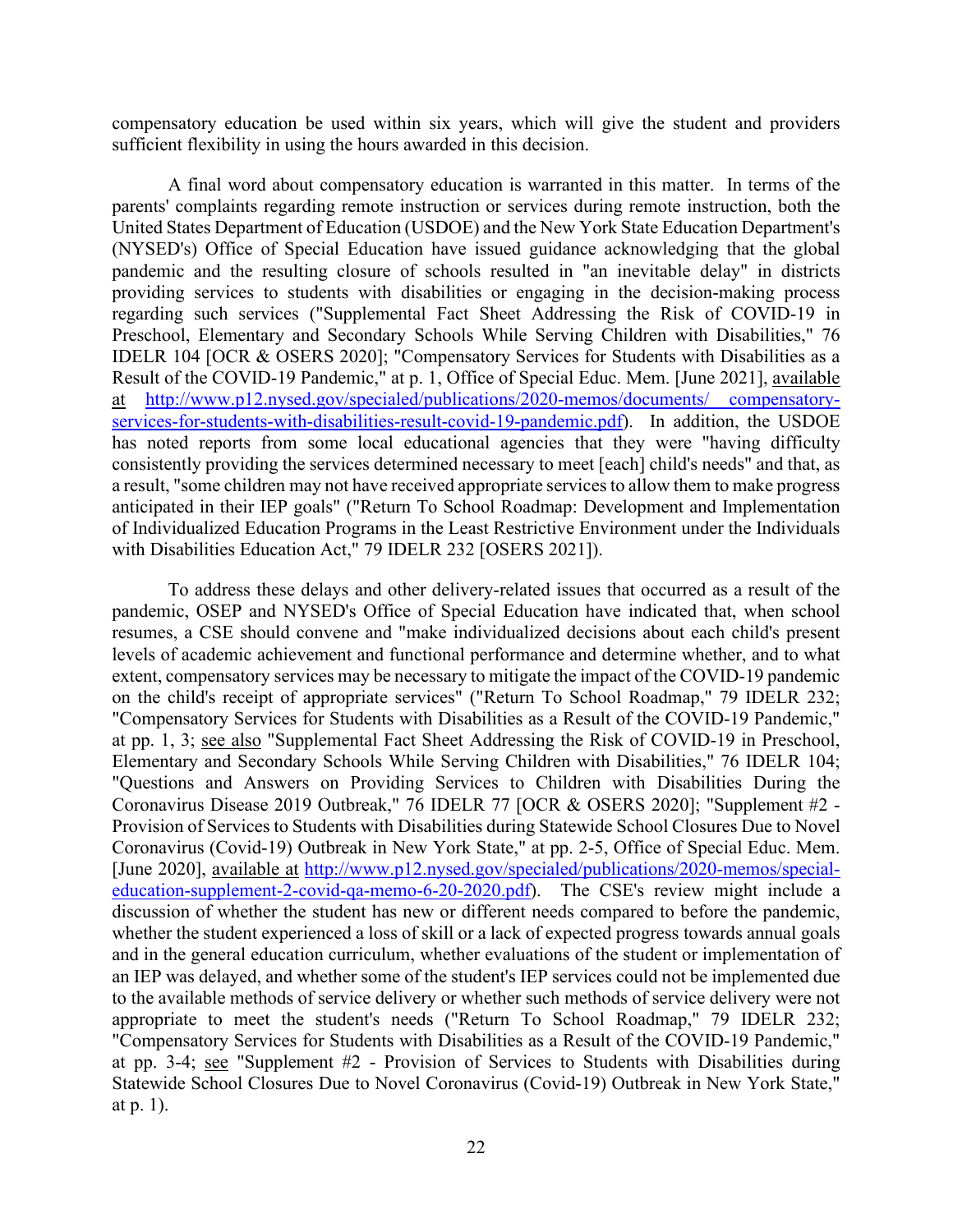compensatory education be used within six years, which will give the student and providers sufficient flexibility in using the hours awarded in this decision.

 A final word about compensatory education is warranted in this matter. In terms of the United States Department of Education (USDOE) and the New York State Education Department's of Individualized Education Programs in the Least Restrictive Environment under the Individuals parents' complaints regarding remote instruction or services during remote instruction, both the (NYSED's) Office of Special Education have issued guidance acknowledging that the global pandemic and the resulting closure of schools resulted in "an inevitable delay" in districts providing services to students with disabilities or engaging in the decision-making process regarding such services ("Supplemental Fact Sheet Addressing the Risk of COVID-19 in Preschool, Elementary and Secondary Schools While Serving Children with Disabilities," 76 IDELR 104 [OCR & OSERS 2020]; "Compensatory Services for Students with Disabilities as a Result of the COVID-19 Pandemic," at p. 1, Office of Special Educ. Mem. [June 2021], available at [http://www.p12.nysed.gov/specialed/publications/2020-memos/documents/ compensatory](http://www.p12.nysed.gov/specialed/publications/2020-memos/documents/%20compensatory-services-for-students-with-disabilities-result-covid-19-pandemic.pdf)[services-for-students-with-disabilities-result-covid-19-pandemic.pdf\)](http://www.p12.nysed.gov/specialed/publications/2020-memos/documents/%20compensatory-services-for-students-with-disabilities-result-covid-19-pandemic.pdf). In addition, the USDOE has noted reports from some local educational agencies that they were "having difficulty consistently providing the services determined necessary to meet [each] child's needs" and that, as a result, "some children may not have received appropriate services to allow them to make progress anticipated in their IEP goals" ("Return To School Roadmap: Development and Implementation with Disabilities Education Act," 79 IDELR 232 [OSERS 2021]).

 Provision of Services to Students with Disabilities during Statewide School Closures Due to Novel at pp. 3-4; see "Supplement #2 - Provision of Services to Students with Disabilities during To address these delays and other delivery-related issues that occurred as a result of the pandemic, OSEP and NYSED's Office of Special Education have indicated that, when school resumes, a CSE should convene and "make individualized decisions about each child's present levels of academic achievement and functional performance and determine whether, and to what extent, compensatory services may be necessary to mitigate the impact of the COVID-19 pandemic on the child's receipt of appropriate services" ("Return To School Roadmap," 79 IDELR 232; "Compensatory Services for Students with Disabilities as a Result of the COVID-19 Pandemic," at pp. 1, 3; see also "Supplemental Fact Sheet Addressing the Risk of COVID-19 in Preschool, Elementary and Secondary Schools While Serving Children with Disabilities," 76 IDELR 104; "Questions and Answers on Providing Services to Children with Disabilities During the Coronavirus Disease 2019 Outbreak," 76 IDELR 77 [OCR & OSERS 2020]; "Supplement #2 - Coronavirus (Covid-19) Outbreak in New York State," at pp. 2-5, Office of Special Educ. Mem. [June 2020], available at [http://www.p12.nysed.gov/specialed/publications/2020-memos/special](http://www.p12.nysed.gov/specialed/publications/2020-memos/special-education-supplement-2-covid-qa-memo-6-20-2020.pdf)[education-supplement-2-covid-qa-memo-6-20-2020.pdf\)](http://www.p12.nysed.gov/specialed/publications/2020-memos/special-education-supplement-2-covid-qa-memo-6-20-2020.pdf). The CSE's review might include a discussion of whether the student has new or different needs compared to before the pandemic, whether the student experienced a loss of skill or a lack of expected progress towards annual goals and in the general education curriculum, whether evaluations of the student or implementation of an IEP was delayed, and whether some of the student's IEP services could not be implemented due to the available methods of service delivery or whether such methods of service delivery were not appropriate to meet the student's needs ("Return To School Roadmap," 79 IDELR 232; "Compensatory Services for Students with Disabilities as a Result of the COVID-19 Pandemic," Statewide School Closures Due to Novel Coronavirus (Covid-19) Outbreak in New York State," at p. 1).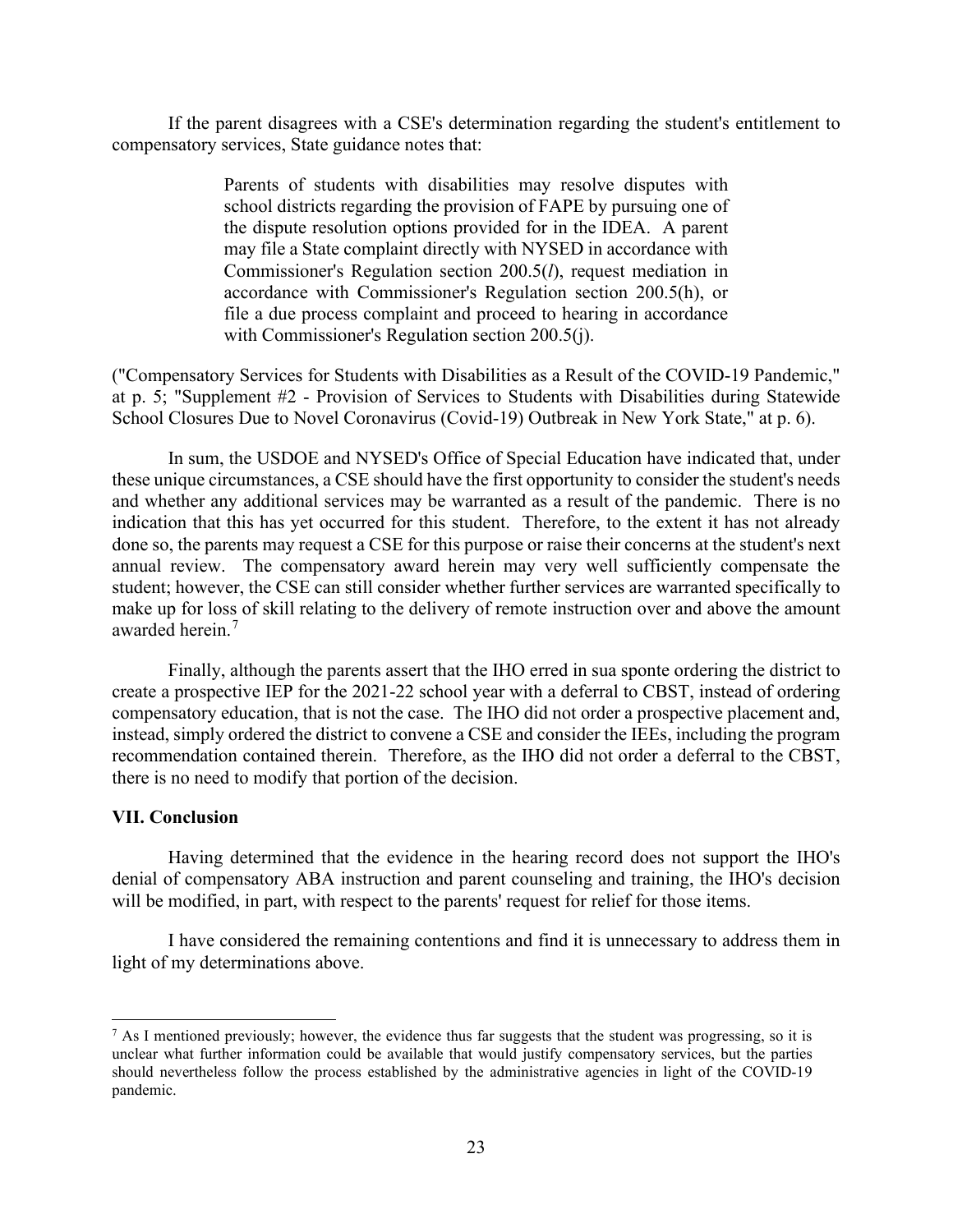If the parent disagrees with a CSE's determination regarding the student's entitlement to compensatory services, State guidance notes that:

> Parents of students with disabilities may resolve disputes with school districts regarding the provision of FAPE by pursuing one of the dispute resolution options provided for in the IDEA. A parent may file a State complaint directly with NYSED in accordance with Commissioner's Regulation section 200.5(*l*), request mediation in accordance with Commissioner's Regulation section 200.5(h), or file a due process complaint and proceed to hearing in accordance with Commissioner's Regulation section 200.5(j).

("Compensatory Services for Students with Disabilities as a Result of the COVID-19 Pandemic," at p. 5; "Supplement #2 - Provision of Services to Students with Disabilities during Statewide School Closures Due to Novel Coronavirus (Covid-19) Outbreak in New York State," at p. 6).

 indication that this has yet occurred for this student. Therefore, to the extent it has not already In sum, the USDOE and NYSED's Office of Special Education have indicated that, under these unique circumstances, a CSE should have the first opportunity to consider the student's needs and whether any additional services may be warranted as a result of the pandemic. There is no done so, the parents may request a CSE for this purpose or raise their concerns at the student's next annual review. The compensatory award herein may very well sufficiently compensate the student; however, the CSE can still consider whether further services are warranted specifically to make up for loss of skill relating to the delivery of remote instruction over and above the amount awarded herein.<sup>[7](#page-22-0)</sup>

 Finally, although the parents assert that the IHO erred in sua sponte ordering the district to compensatory education, that is not the case. The IHO did not order a prospective placement and, create a prospective IEP for the 2021-22 school year with a deferral to CBST, instead of ordering instead, simply ordered the district to convene a CSE and consider the IEEs, including the program recommendation contained therein. Therefore, as the IHO did not order a deferral to the CBST, there is no need to modify that portion of the decision.

#### **VII. Conclusion**

 will be modified, in part, with respect to the parents' request for relief for those items. Having determined that the evidence in the hearing record does not support the IHO's denial of compensatory ABA instruction and parent counseling and training, the IHO's decision

I have considered the remaining contentions and find it is unnecessary to address them in light of my determinations above.

<span id="page-22-0"></span> unclear what further information could be available that would justify compensatory services, but the parties should nevertheless follow the process established by the administrative agencies in light of the COVID-19  $<sup>7</sup>$  As I mentioned previously; however, the evidence thus far suggests that the student was progressing, so it is</sup> pandemic.